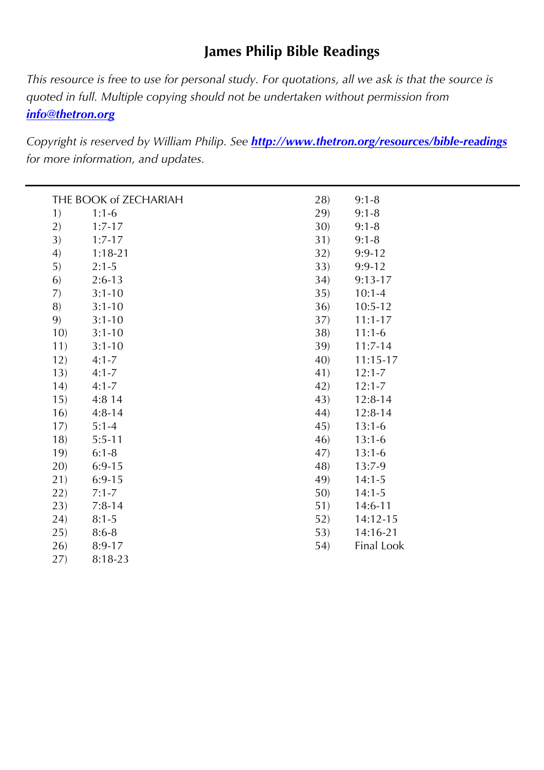# **James Philip Bible Readings**

*This resource is free to use for personal study. For quotations, all we ask is that the source is quoted in full. Multiple copying should not be undertaken without permission from info@thetron.org*

*Copyright is reserved by William Philip. See http://www.thetron.org/resources/bible-readings for more information, and updates.*

| 1)<br>$1:1-6$<br>29)<br>$9:1 - 8$<br>2)<br>30)<br>$9:1 - 8$<br>$1:7-17$<br>3)<br>31)<br>$9:1 - 8$<br>$1:7-17$<br>4)<br>32)<br>$1:18-21$<br>$9:9-12$<br>5)<br>33)<br>$2:1 - 5$<br>$9:9-12$<br>6)<br>$2:6-13$<br>34)<br>$9:13-17$<br>7)<br>$3:1 - 10$<br>35)<br>$10:1 - 4$<br>8)<br>$3:1 - 10$<br>36)<br>$10:5-12$<br>9)<br>37)<br>$3:1 - 10$<br>$11:1 - 17$<br>38)<br>10)<br>$3:1 - 10$<br>$11:1-6$<br>11)<br>$3:1 - 10$<br>39)<br>$11:7-14$<br>12)<br>40)<br>$4:1 - 7$<br>$11:15-17$<br>13)<br>$4:1 - 7$<br>41)<br>$12:1 - 7$<br>(14)<br>42)<br>$4:1 - 7$<br>$12:1 - 7$<br>43)<br>15)<br>4:8 14<br>$12:8-14$<br>$4:8-14$<br>16)<br>44)<br>$12:8-14$<br>17)<br>$5:1 - 4$<br>45)<br>$13:1-6$<br>18)<br>$5:5-11$<br>46)<br>$13:1-6$<br>19)<br>$6:1 - 8$<br>47)<br>$13:1-6$<br>20)<br>$6:9-15$<br>48)<br>$13:7-9$<br>21)<br>49)<br>$6:9-15$<br>$14:1-5$<br>50)<br>22)<br>$7:1 - 7$<br>$14:1 - 5$<br>51)<br>23)<br>$7:8-14$<br>14:6-11<br>(24)<br>$8:1 - 5$<br>52)<br>14:12-15<br>25)<br>53)<br>14:16-21<br>$8:6 - 8$<br>Final Look<br>26)<br>54)<br>$8:9-17$<br>27)<br>8:18-23 | THE BOOK of ZECHARIAH |  |     | $9:1 - 8$ |
|----------------------------------------------------------------------------------------------------------------------------------------------------------------------------------------------------------------------------------------------------------------------------------------------------------------------------------------------------------------------------------------------------------------------------------------------------------------------------------------------------------------------------------------------------------------------------------------------------------------------------------------------------------------------------------------------------------------------------------------------------------------------------------------------------------------------------------------------------------------------------------------------------------------------------------------------------------------------------------------------------------------------------------------------------------------------------|-----------------------|--|-----|-----------|
|                                                                                                                                                                                                                                                                                                                                                                                                                                                                                                                                                                                                                                                                                                                                                                                                                                                                                                                                                                                                                                                                            |                       |  | 28) |           |
|                                                                                                                                                                                                                                                                                                                                                                                                                                                                                                                                                                                                                                                                                                                                                                                                                                                                                                                                                                                                                                                                            |                       |  |     |           |
|                                                                                                                                                                                                                                                                                                                                                                                                                                                                                                                                                                                                                                                                                                                                                                                                                                                                                                                                                                                                                                                                            |                       |  |     |           |
|                                                                                                                                                                                                                                                                                                                                                                                                                                                                                                                                                                                                                                                                                                                                                                                                                                                                                                                                                                                                                                                                            |                       |  |     |           |
|                                                                                                                                                                                                                                                                                                                                                                                                                                                                                                                                                                                                                                                                                                                                                                                                                                                                                                                                                                                                                                                                            |                       |  |     |           |
|                                                                                                                                                                                                                                                                                                                                                                                                                                                                                                                                                                                                                                                                                                                                                                                                                                                                                                                                                                                                                                                                            |                       |  |     |           |
|                                                                                                                                                                                                                                                                                                                                                                                                                                                                                                                                                                                                                                                                                                                                                                                                                                                                                                                                                                                                                                                                            |                       |  |     |           |
|                                                                                                                                                                                                                                                                                                                                                                                                                                                                                                                                                                                                                                                                                                                                                                                                                                                                                                                                                                                                                                                                            |                       |  |     |           |
|                                                                                                                                                                                                                                                                                                                                                                                                                                                                                                                                                                                                                                                                                                                                                                                                                                                                                                                                                                                                                                                                            |                       |  |     |           |
|                                                                                                                                                                                                                                                                                                                                                                                                                                                                                                                                                                                                                                                                                                                                                                                                                                                                                                                                                                                                                                                                            |                       |  |     |           |
|                                                                                                                                                                                                                                                                                                                                                                                                                                                                                                                                                                                                                                                                                                                                                                                                                                                                                                                                                                                                                                                                            |                       |  |     |           |
|                                                                                                                                                                                                                                                                                                                                                                                                                                                                                                                                                                                                                                                                                                                                                                                                                                                                                                                                                                                                                                                                            |                       |  |     |           |
|                                                                                                                                                                                                                                                                                                                                                                                                                                                                                                                                                                                                                                                                                                                                                                                                                                                                                                                                                                                                                                                                            |                       |  |     |           |
|                                                                                                                                                                                                                                                                                                                                                                                                                                                                                                                                                                                                                                                                                                                                                                                                                                                                                                                                                                                                                                                                            |                       |  |     |           |
|                                                                                                                                                                                                                                                                                                                                                                                                                                                                                                                                                                                                                                                                                                                                                                                                                                                                                                                                                                                                                                                                            |                       |  |     |           |
|                                                                                                                                                                                                                                                                                                                                                                                                                                                                                                                                                                                                                                                                                                                                                                                                                                                                                                                                                                                                                                                                            |                       |  |     |           |
|                                                                                                                                                                                                                                                                                                                                                                                                                                                                                                                                                                                                                                                                                                                                                                                                                                                                                                                                                                                                                                                                            |                       |  |     |           |
|                                                                                                                                                                                                                                                                                                                                                                                                                                                                                                                                                                                                                                                                                                                                                                                                                                                                                                                                                                                                                                                                            |                       |  |     |           |
|                                                                                                                                                                                                                                                                                                                                                                                                                                                                                                                                                                                                                                                                                                                                                                                                                                                                                                                                                                                                                                                                            |                       |  |     |           |
|                                                                                                                                                                                                                                                                                                                                                                                                                                                                                                                                                                                                                                                                                                                                                                                                                                                                                                                                                                                                                                                                            |                       |  |     |           |
|                                                                                                                                                                                                                                                                                                                                                                                                                                                                                                                                                                                                                                                                                                                                                                                                                                                                                                                                                                                                                                                                            |                       |  |     |           |
|                                                                                                                                                                                                                                                                                                                                                                                                                                                                                                                                                                                                                                                                                                                                                                                                                                                                                                                                                                                                                                                                            |                       |  |     |           |
|                                                                                                                                                                                                                                                                                                                                                                                                                                                                                                                                                                                                                                                                                                                                                                                                                                                                                                                                                                                                                                                                            |                       |  |     |           |
|                                                                                                                                                                                                                                                                                                                                                                                                                                                                                                                                                                                                                                                                                                                                                                                                                                                                                                                                                                                                                                                                            |                       |  |     |           |
|                                                                                                                                                                                                                                                                                                                                                                                                                                                                                                                                                                                                                                                                                                                                                                                                                                                                                                                                                                                                                                                                            |                       |  |     |           |
|                                                                                                                                                                                                                                                                                                                                                                                                                                                                                                                                                                                                                                                                                                                                                                                                                                                                                                                                                                                                                                                                            |                       |  |     |           |
|                                                                                                                                                                                                                                                                                                                                                                                                                                                                                                                                                                                                                                                                                                                                                                                                                                                                                                                                                                                                                                                                            |                       |  |     |           |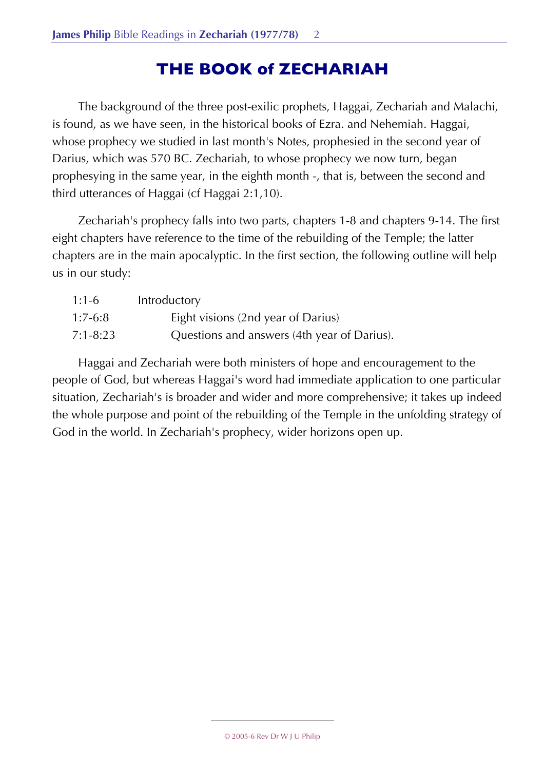# **THE BOOK of ZECHARIAH**

The background of the three post-exilic prophets, Haggai, Zechariah and Malachi, is found, as we have seen, in the historical books of Ezra. and Nehemiah. Haggai, whose prophecy we studied in last month's Notes, prophesied in the second year of Darius, which was 570 BC. Zechariah, to whose prophecy we now turn, began prophesying in the same year, in the eighth month -, that is, between the second and third utterances of Haggai (cf Haggai 2:1,10).

Zechariah's prophecy falls into two parts, chapters 1-8 and chapters 9-14. The first eight chapters have reference to the time of the rebuilding of the Temple; the latter chapters are in the main apocalyptic. In the first section, the following outline will help us in our study:

| $1:1-6$   | Introductory                                |
|-----------|---------------------------------------------|
| $1:7-6:8$ | Eight visions (2nd year of Darius)          |
| 7:1-8:23  | Questions and answers (4th year of Darius). |

Haggai and Zechariah were both ministers of hope and encouragement to the people of God, but whereas Haggai's word had immediate application to one particular situation, Zechariah's is broader and wider and more comprehensive; it takes up indeed the whole purpose and point of the rebuilding of the Temple in the unfolding strategy of God in the world. In Zechariah's prophecy, wider horizons open up.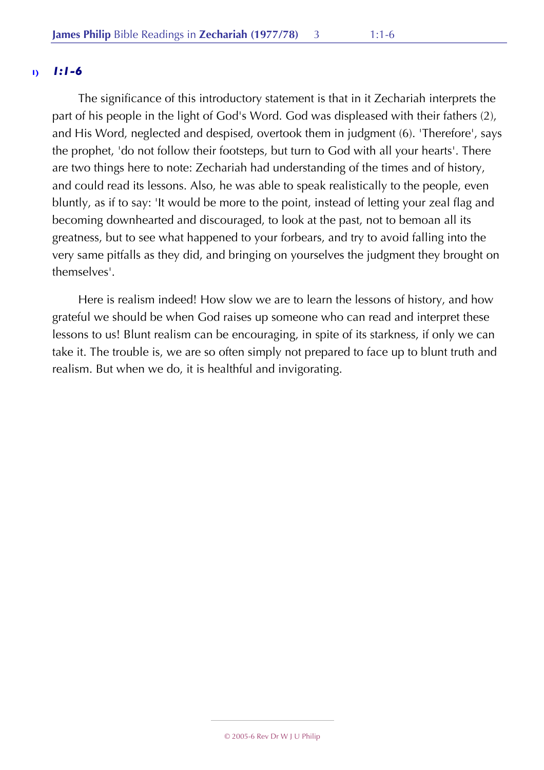# **1)** *1:1-6*

The significance of this introductory statement is that in it Zechariah interprets the part of his people in the light of God's Word. God was displeased with their fathers (2), and His Word, neglected and despised, overtook them in judgment (6). 'Therefore', says the prophet, 'do not follow their footsteps, but turn to God with all your hearts'. There are two things here to note: Zechariah had understanding of the times and of history, and could read its lessons. Also, he was able to speak realistically to the people, even bluntly, as if to say: 'It would be more to the point, instead of letting your zeal flag and becoming downhearted and discouraged, to look at the past, not to bemoan all its greatness, but to see what happened to your forbears, and try to avoid falling into the very same pitfalls as they did, and bringing on yourselves the judgment they brought on themselves'.

Here is realism indeed! How slow we are to learn the lessons of history, and how grateful we should be when God raises up someone who can read and interpret these lessons to us! Blunt realism can be encouraging, in spite of its starkness, if only we can take it. The trouble is, we are so often simply not prepared to face up to blunt truth and realism. But when we do, it is healthful and invigorating.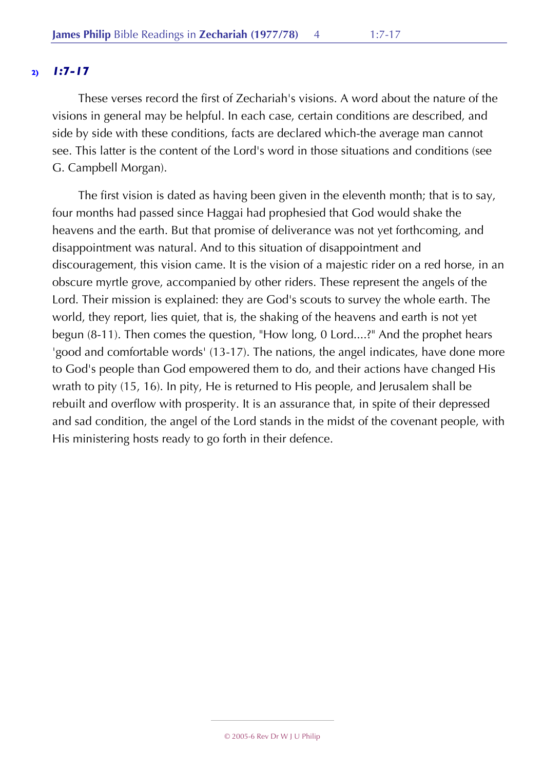# **2)** *1:7-17*

These verses record the first of Zechariah's visions. A word about the nature of the visions in general may be helpful. In each case, certain conditions are described, and side by side with these conditions, facts are declared which-the average man cannot see. This latter is the content of the Lord's word in those situations and conditions (see G. Campbell Morgan).

The first vision is dated as having been given in the eleventh month; that is to say, four months had passed since Haggai had prophesied that God would shake the heavens and the earth. But that promise of deliverance was not yet forthcoming, and disappointment was natural. And to this situation of disappointment and discouragement, this vision came. It is the vision of a majestic rider on a red horse, in an obscure myrtle grove, accompanied by other riders. These represent the angels of the Lord. Their mission is explained: they are God's scouts to survey the whole earth. The world, they report, lies quiet, that is, the shaking of the heavens and earth is not yet begun (8-11). Then comes the question, "How long, 0 Lord....?" And the prophet hears 'good and comfortable words' (13-17). The nations, the angel indicates, have done more to God's people than God empowered them to do, and their actions have changed His wrath to pity (15, 16). In pity, He is returned to His people, and Jerusalem shall be rebuilt and overflow with prosperity. It is an assurance that, in spite of their depressed and sad condition, the angel of the Lord stands in the midst of the covenant people, with His ministering hosts ready to go forth in their defence.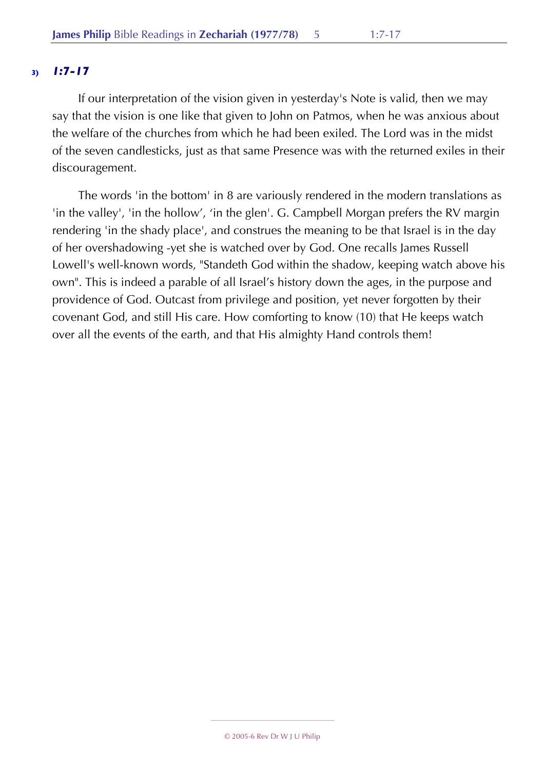# **3)** *1:7-17*

If our interpretation of the vision given in yesterday's Note is valid, then we may say that the vision is one like that given to John on Patmos, when he was anxious about the welfare of the churches from which he had been exiled. The Lord was in the midst of the seven candlesticks, just as that same Presence was with the returned exiles in their discouragement.

The words 'in the bottom' in 8 are variously rendered in the modern translations as 'in the valley', 'in the hollow', 'in the glen'. G. Campbell Morgan prefers the RV margin rendering 'in the shady place', and construes the meaning to be that Israel is in the day of her overshadowing -yet she is watched over by God. One recalls James Russell Lowell's well-known words, "Standeth God within the shadow, keeping watch above his own". This is indeed a parable of all Israel's history down the ages, in the purpose and providence of God. Outcast from privilege and position, yet never forgotten by their covenant God, and still His care. How comforting to know (10) that He keeps watch over all the events of the earth, and that His almighty Hand controls them!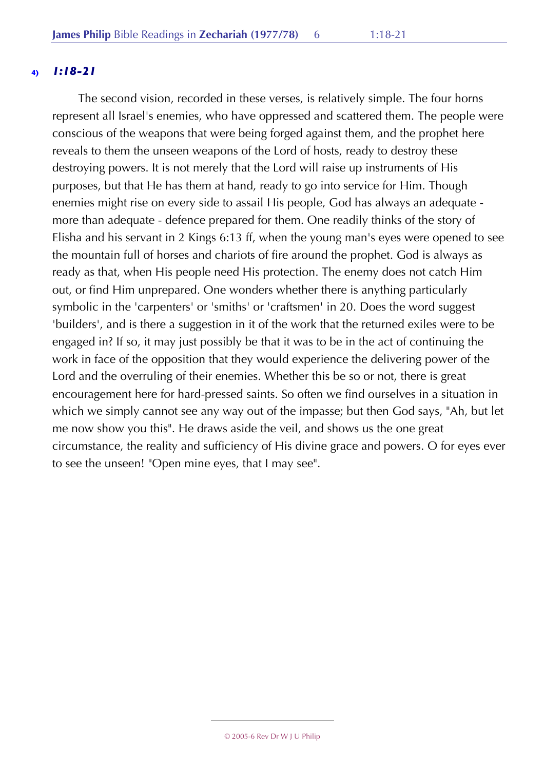# **4)** *1:18-21*

The second vision, recorded in these verses, is relatively simple. The four horns represent all Israel's enemies, who have oppressed and scattered them. The people were conscious of the weapons that were being forged against them, and the prophet here reveals to them the unseen weapons of the Lord of hosts, ready to destroy these destroying powers. It is not merely that the Lord will raise up instruments of His purposes, but that He has them at hand, ready to go into service for Him. Though enemies might rise on every side to assail His people, God has always an adequate more than adequate - defence prepared for them. One readily thinks of the story of Elisha and his servant in 2 Kings 6:13 ff, when the young man's eyes were opened to see the mountain full of horses and chariots of fire around the prophet. God is always as ready as that, when His people need His protection. The enemy does not catch Him out, or find Him unprepared. One wonders whether there is anything particularly symbolic in the 'carpenters' or 'smiths' or 'craftsmen' in 20. Does the word suggest 'builders', and is there a suggestion in it of the work that the returned exiles were to be engaged in? If so, it may just possibly be that it was to be in the act of continuing the work in face of the opposition that they would experience the delivering power of the Lord and the overruling of their enemies. Whether this be so or not, there is great encouragement here for hard-pressed saints. So often we find ourselves in a situation in which we simply cannot see any way out of the impasse; but then God says, "Ah, but let me now show you this". He draws aside the veil, and shows us the one great circumstance, the reality and sufficiency of His divine grace and powers. O for eyes ever to see the unseen! "Open mine eyes, that I may see".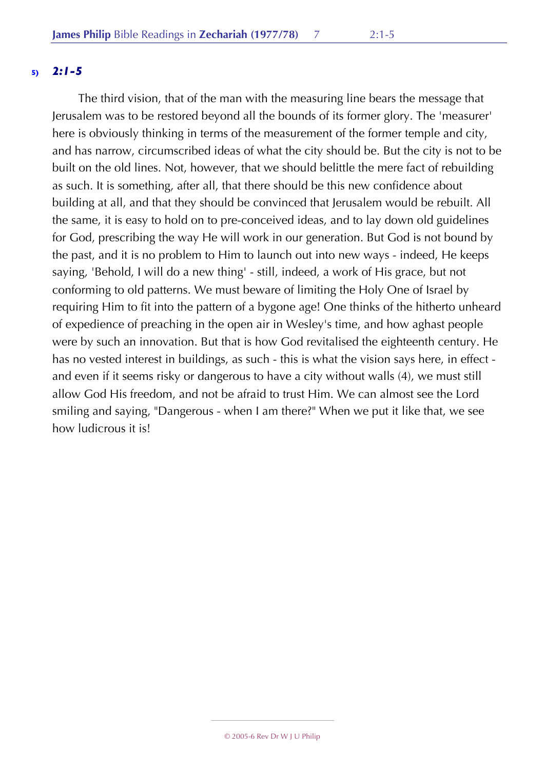# **5)** *2:1-5*

The third vision, that of the man with the measuring line bears the message that Jerusalem was to be restored beyond all the bounds of its former glory. The 'measurer' here is obviously thinking in terms of the measurement of the former temple and city, and has narrow, circumscribed ideas of what the city should be. But the city is not to be built on the old lines. Not, however, that we should belittle the mere fact of rebuilding as such. It is something, after all, that there should be this new confidence about building at all, and that they should be convinced that Jerusalem would be rebuilt. All the same, it is easy to hold on to pre-conceived ideas, and to lay down old guidelines for God, prescribing the way He will work in our generation. But God is not bound by the past, and it is no problem to Him to launch out into new ways - indeed, He keeps saying, 'Behold, I will do a new thing' - still, indeed, a work of His grace, but not conforming to old patterns. We must beware of limiting the Holy One of Israel by requiring Him to fit into the pattern of a bygone age! One thinks of the hitherto unheard of expedience of preaching in the open air in Wesley's time, and how aghast people were by such an innovation. But that is how God revitalised the eighteenth century. He has no vested interest in buildings, as such - this is what the vision says here, in effect and even if it seems risky or dangerous to have a city without walls (4), we must still allow God His freedom, and not be afraid to trust Him. We can almost see the Lord smiling and saying, "Dangerous - when I am there?" When we put it like that, we see how ludicrous it is!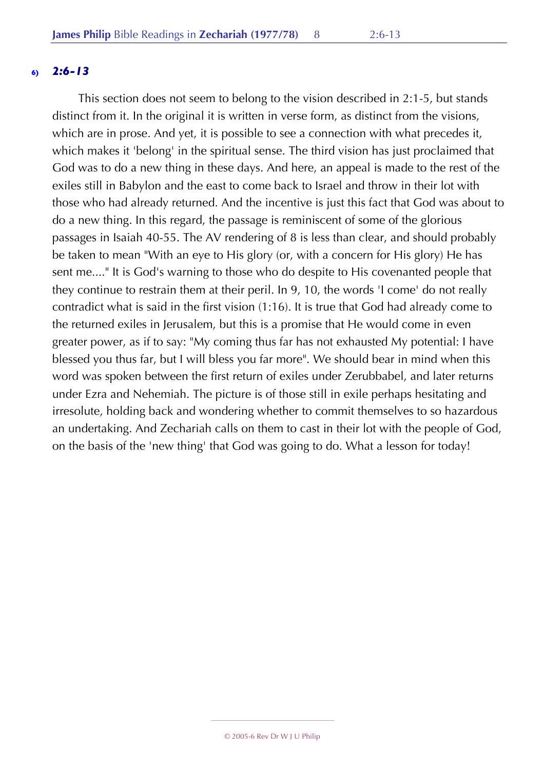# **6)** *2:6-13*

This section does not seem to belong to the vision described in 2:1-5, but stands distinct from it. In the original it is written in verse form, as distinct from the visions, which are in prose. And yet, it is possible to see a connection with what precedes it, which makes it 'belong' in the spiritual sense. The third vision has just proclaimed that God was to do a new thing in these days. And here, an appeal is made to the rest of the exiles still in Babylon and the east to come back to Israel and throw in their lot with those who had already returned. And the incentive is just this fact that God was about to do a new thing. In this regard, the passage is reminiscent of some of the glorious passages in Isaiah 40-55. The AV rendering of 8 is less than clear, and should probably be taken to mean "With an eye to His glory (or, with a concern for His glory) He has sent me...." It is God's warning to those who do despite to His covenanted people that they continue to restrain them at their peril. In 9, 10, the words 'I come' do not really contradict what is said in the first vision (1:16). It is true that God had already come to the returned exiles in Jerusalem, but this is a promise that He would come in even greater power, as if to say: "My coming thus far has not exhausted My potential: I have blessed you thus far, but I will bless you far more". We should bear in mind when this word was spoken between the first return of exiles under Zerubbabel, and later returns under Ezra and Nehemiah. The picture is of those still in exile perhaps hesitating and irresolute, holding back and wondering whether to commit themselves to so hazardous an undertaking. And Zechariah calls on them to cast in their lot with the people of God, on the basis of the 'new thing' that God was going to do. What a lesson for today!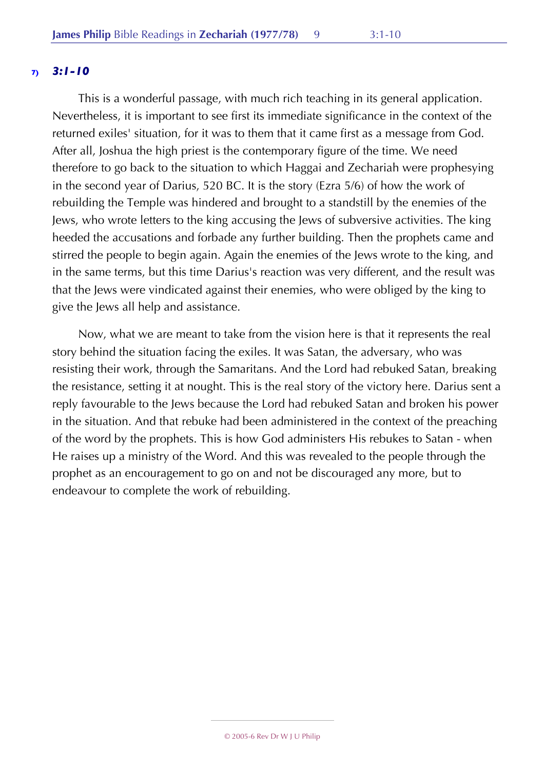This is a wonderful passage, with much rich teaching in its general application. Nevertheless, it is important to see first its immediate significance in the context of the returned exiles' situation, for it was to them that it came first as a message from God. After all, Joshua the high priest is the contemporary figure of the time. We need therefore to go back to the situation to which Haggai and Zechariah were prophesying in the second year of Darius, 520 BC. It is the story (Ezra 5/6) of how the work of rebuilding the Temple was hindered and brought to a standstill by the enemies of the Jews, who wrote letters to the king accusing the Jews of subversive activities. The king heeded the accusations and forbade any further building. Then the prophets came and stirred the people to begin again. Again the enemies of the Jews wrote to the king, and in the same terms, but this time Darius's reaction was very different, and the result was that the Jews were vindicated against their enemies, who were obliged by the king to give the Jews all help and assistance.

Now, what we are meant to take from the vision here is that it represents the real story behind the situation facing the exiles. It was Satan, the adversary, who was resisting their work, through the Samaritans. And the Lord had rebuked Satan, breaking the resistance, setting it at nought. This is the real story of the victory here. Darius sent a reply favourable to the Jews because the Lord had rebuked Satan and broken his power in the situation. And that rebuke had been administered in the context of the preaching of the word by the prophets. This is how God administers His rebukes to Satan - when He raises up a ministry of the Word. And this was revealed to the people through the prophet as an encouragement to go on and not be discouraged any more, but to endeavour to complete the work of rebuilding.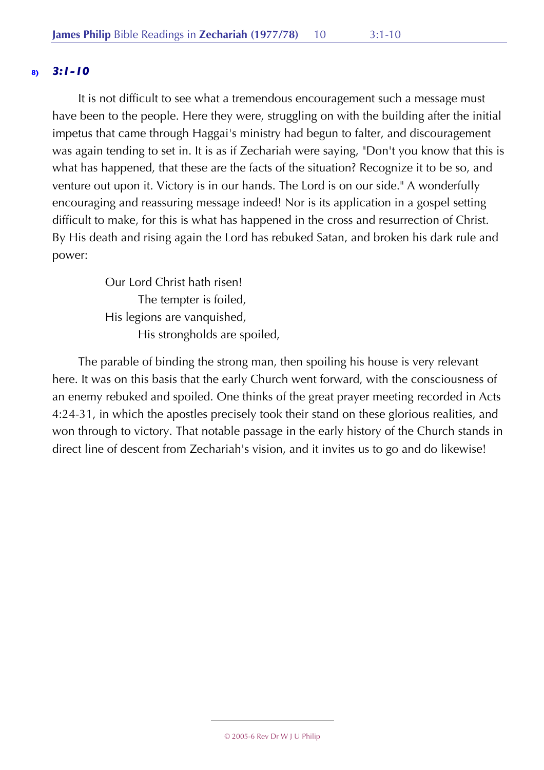It is not difficult to see what a tremendous encouragement such a message must have been to the people. Here they were, struggling on with the building after the initial impetus that came through Haggai's ministry had begun to falter, and discouragement was again tending to set in. It is as if Zechariah were saying, "Don't you know that this is what has happened, that these are the facts of the situation? Recognize it to be so, and venture out upon it. Victory is in our hands. The Lord is on our side." A wonderfully encouraging and reassuring message indeed! Nor is its application in a gospel setting difficult to make, for this is what has happened in the cross and resurrection of Christ. By His death and rising again the Lord has rebuked Satan, and broken his dark rule and power:

> Our Lord Christ hath risen! The tempter is foiled, His legions are vanquished, His strongholds are spoiled,

The parable of binding the strong man, then spoiling his house is very relevant here. It was on this basis that the early Church went forward, with the consciousness of an enemy rebuked and spoiled. One thinks of the great prayer meeting recorded in Acts 4:24-31, in which the apostles precisely took their stand on these glorious realities, and won through to victory. That notable passage in the early history of the Church stands in direct line of descent from Zechariah's vision, and it invites us to go and do likewise!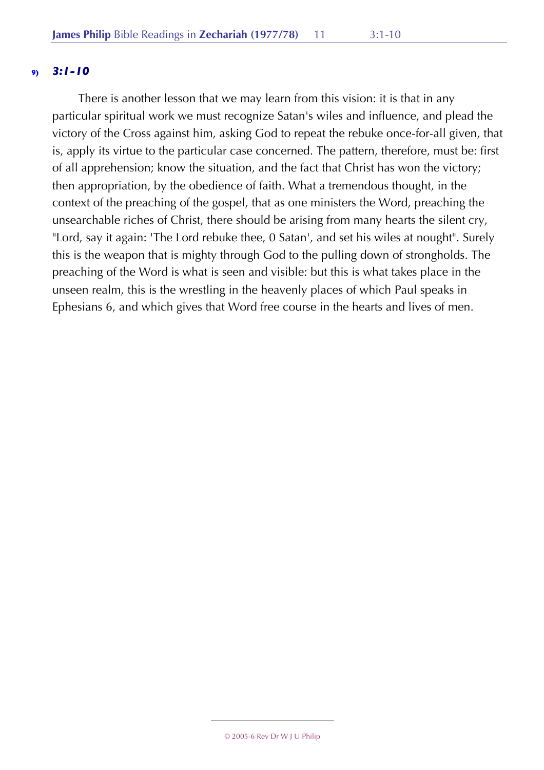There is another lesson that we may learn from this vision: it is that in any particular spiritual work we must recognize Satan's wiles and influence, and plead the victory of the Cross against him, asking God to repeat the rebuke once-for-all given, that is, apply its virtue to the particular case concerned. The pattern, therefore, must be: first of all apprehension; know the situation, and the fact that Christ has won the victory; then appropriation, by the obedience of faith. What a tremendous thought, in the context of the preaching of the gospel, that as one ministers the Word, preaching the unsearchable riches of Christ, there should be arising from many hearts the silent cry, "Lord, say it again: 'The Lord rebuke thee, 0 Satan', and set his wiles at nought". Surely this is the weapon that is mighty through God to the pulling down of strongholds. The preaching of the Word is what is seen and visible: but this is what takes place in the unseen realm, this is the wrestling in the heavenly places of which Paul speaks in Ephesians 6, and which gives that Word free course in the hearts and lives of men.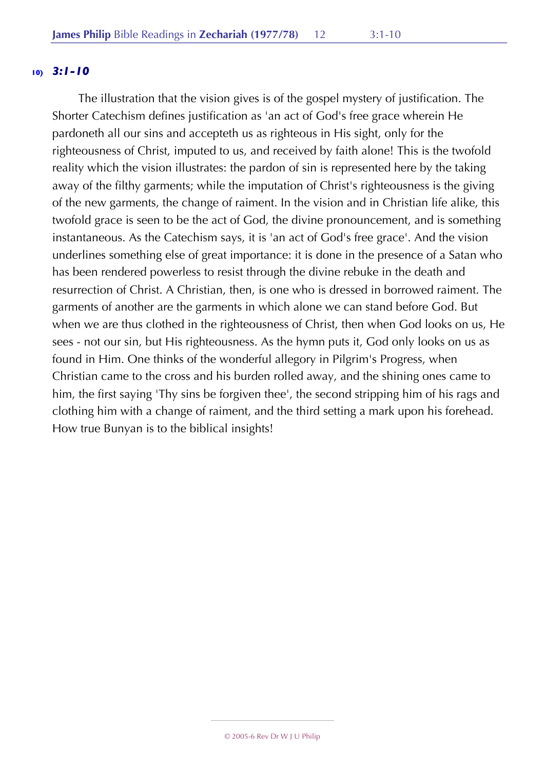The illustration that the vision gives is of the gospel mystery of justification. The Shorter Catechism defines justification as 'an act of God's free grace wherein He pardoneth all our sins and accepteth us as righteous in His sight, only for the righteousness of Christ, imputed to us, and received by faith alone! This is the twofold reality which the vision illustrates: the pardon of sin is represented here by the taking away of the filthy garments; while the imputation of Christ's righteousness is the giving of the new garments, the change of raiment. In the vision and in Christian life alike, this twofold grace is seen to be the act of God, the divine pronouncement, and is something instantaneous. As the Catechism says, it is 'an act of God's free grace'. And the vision underlines something else of great importance: it is done in the presence of a Satan who has been rendered powerless to resist through the divine rebuke in the death and resurrection of Christ. A Christian, then, is one who is dressed in borrowed raiment. The garments of another are the garments in which alone we can stand before God. But when we are thus clothed in the righteousness of Christ, then when God looks on us, He sees - not our sin, but His righteousness. As the hymn puts it, God only looks on us as found in Him. One thinks of the wonderful allegory in Pilgrim's Progress, when Christian came to the cross and his burden rolled away, and the shining ones came to him, the first saying 'Thy sins be forgiven thee', the second stripping him of his rags and clothing him with a change of raiment, and the third setting a mark upon his forehead. How true Bunyan is to the biblical insights!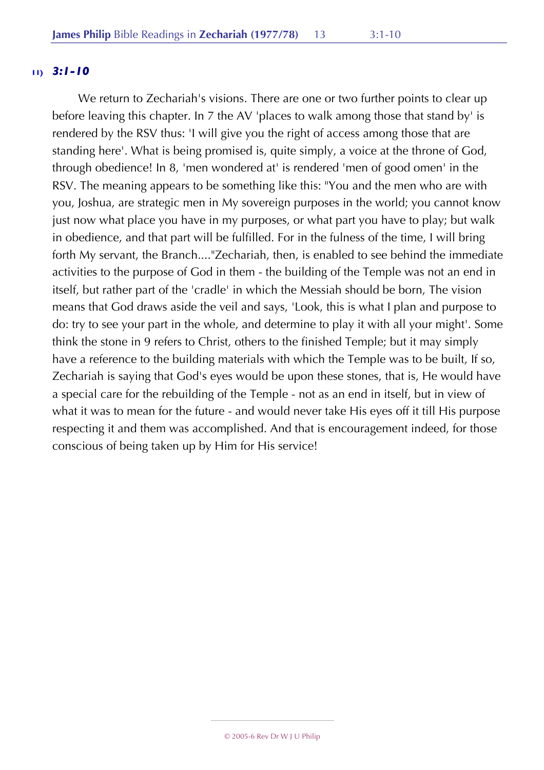We return to Zechariah's visions. There are one or two further points to clear up before leaving this chapter. In 7 the AV 'places to walk among those that stand by' is rendered by the RSV thus: 'I will give you the right of access among those that are standing here'. What is being promised is, quite simply, a voice at the throne of God, through obedience! In 8, 'men wondered at' is rendered 'men of good omen' in the RSV. The meaning appears to be something like this: "You and the men who are with you, Joshua, are strategic men in My sovereign purposes in the world; you cannot know just now what place you have in my purposes, or what part you have to play; but walk in obedience, and that part will be fulfilled. For in the fulness of the time, I will bring forth My servant, the Branch...."Zechariah, then, is enabled to see behind the immediate activities to the purpose of God in them - the building of the Temple was not an end in itself, but rather part of the 'cradle' in which the Messiah should be born, The vision means that God draws aside the veil and says, 'Look, this is what I plan and purpose to do: try to see your part in the whole, and determine to play it with all your might'. Some think the stone in 9 refers to Christ, others to the finished Temple; but it may simply have a reference to the building materials with which the Temple was to be built, If so, Zechariah is saying that God's eyes would be upon these stones, that is, He would have a special care for the rebuilding of the Temple - not as an end in itself, but in view of what it was to mean for the future - and would never take His eyes off it till His purpose respecting it and them was accomplished. And that is encouragement indeed, for those conscious of being taken up by Him for His service!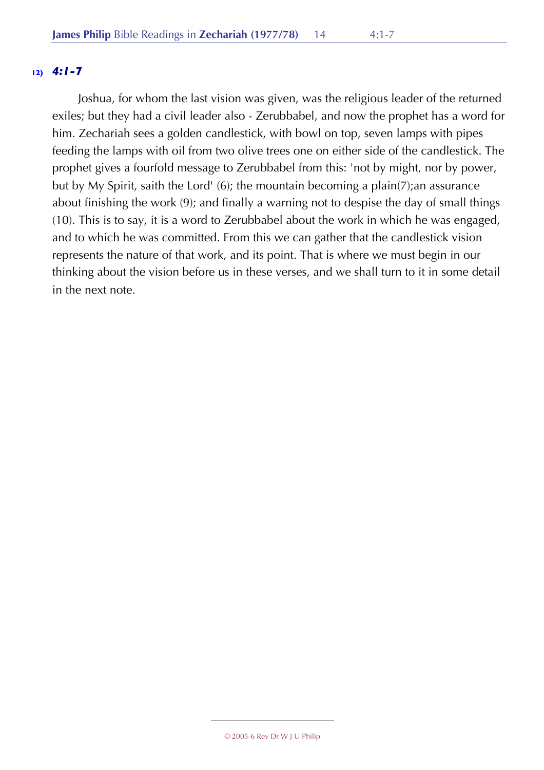# **12)** *4:1-7*

Joshua, for whom the last vision was given, was the religious leader of the returned exiles; but they had a civil leader also - Zerubbabel, and now the prophet has a word for him. Zechariah sees a golden candlestick, with bowl on top, seven lamps with pipes feeding the lamps with oil from two olive trees one on either side of the candlestick. The prophet gives a fourfold message to Zerubbabel from this: 'not by might, nor by power, but by My Spirit, saith the Lord' (6); the mountain becoming a plain(7);an assurance about finishing the work (9); and finally a warning not to despise the day of small things (10). This is to say, it is a word to Zerubbabel about the work in which he was engaged, and to which he was committed. From this we can gather that the candlestick vision represents the nature of that work, and its point. That is where we must begin in our thinking about the vision before us in these verses, and we shall turn to it in some detail in the next note.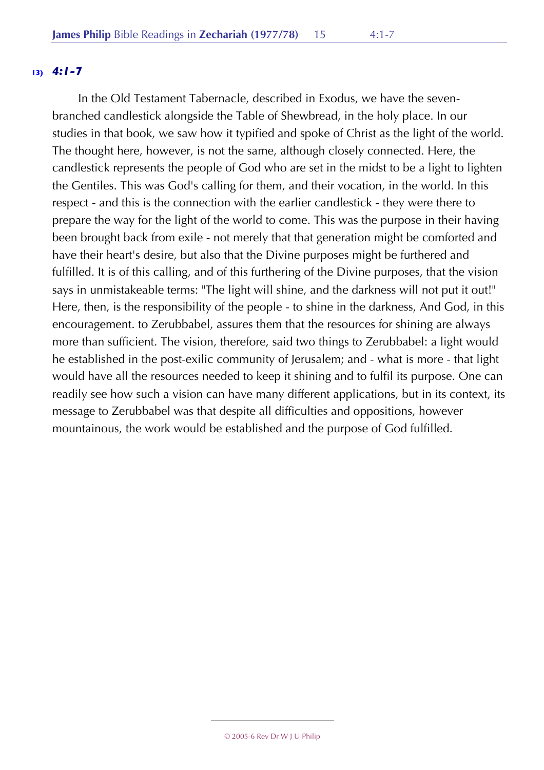## **13)** *4:1-7*

In the Old Testament Tabernacle, described in Exodus, we have the sevenbranched candlestick alongside the Table of Shewbread, in the holy place. In our studies in that book, we saw how it typified and spoke of Christ as the light of the world. The thought here, however, is not the same, although closely connected. Here, the candlestick represents the people of God who are set in the midst to be a light to lighten the Gentiles. This was God's calling for them, and their vocation, in the world. In this respect - and this is the connection with the earlier candlestick - they were there to prepare the way for the light of the world to come. This was the purpose in their having been brought back from exile - not merely that that generation might be comforted and have their heart's desire, but also that the Divine purposes might be furthered and fulfilled. It is of this calling, and of this furthering of the Divine purposes, that the vision says in unmistakeable terms: "The light will shine, and the darkness will not put it out!" Here, then, is the responsibility of the people - to shine in the darkness, And God, in this encouragement. to Zerubbabel, assures them that the resources for shining are always more than sufficient. The vision, therefore, said two things to Zerubbabel: a light would he established in the post-exilic community of Jerusalem; and - what is more - that light would have all the resources needed to keep it shining and to fulfil its purpose. One can readily see how such a vision can have many different applications, but in its context, its message to Zerubbabel was that despite all difficulties and oppositions, however mountainous, the work would be established and the purpose of God fulfilled.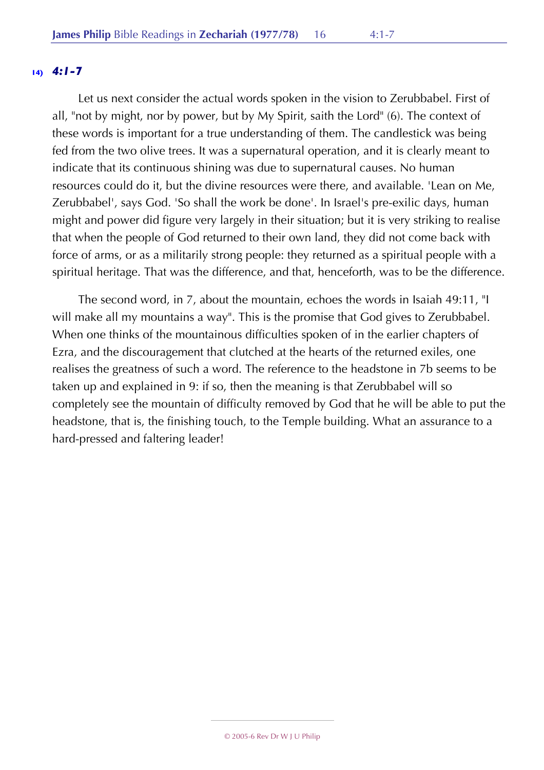## **14)** *4:1-7*

Let us next consider the actual words spoken in the vision to Zerubbabel. First of all, "not by might, nor by power, but by My Spirit, saith the Lord" (6). The context of these words is important for a true understanding of them. The candlestick was being fed from the two olive trees. It was a supernatural operation, and it is clearly meant to indicate that its continuous shining was due to supernatural causes. No human resources could do it, but the divine resources were there, and available. 'Lean on Me, Zerubbabel', says God. 'So shall the work be done'. In Israel's pre-exilic days, human might and power did figure very largely in their situation; but it is very striking to realise that when the people of God returned to their own land, they did not come back with force of arms, or as a militarily strong people: they returned as a spiritual people with a spiritual heritage. That was the difference, and that, henceforth, was to be the difference.

The second word, in 7, about the mountain, echoes the words in Isaiah 49:11, "I will make all my mountains a way". This is the promise that God gives to Zerubbabel. When one thinks of the mountainous difficulties spoken of in the earlier chapters of Ezra, and the discouragement that clutched at the hearts of the returned exiles, one realises the greatness of such a word. The reference to the headstone in 7b seems to be taken up and explained in 9: if so, then the meaning is that Zerubbabel will so completely see the mountain of difficulty removed by God that he will be able to put the headstone, that is, the finishing touch, to the Temple building. What an assurance to a hard-pressed and faltering leader!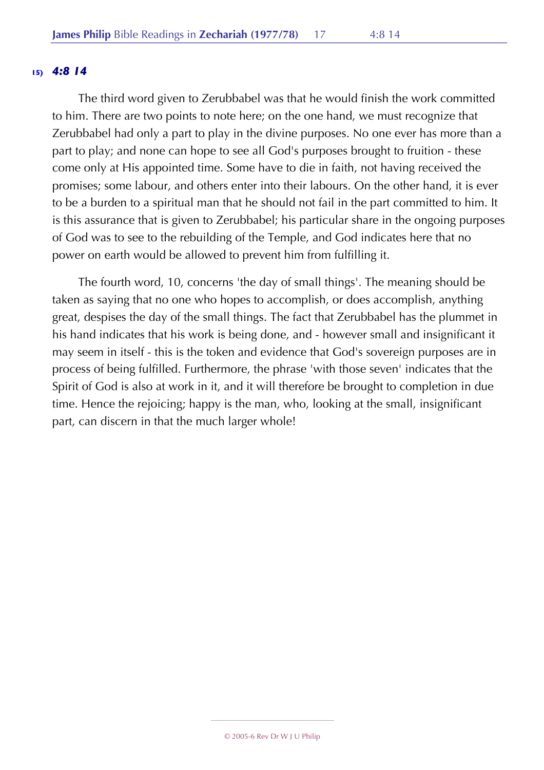#### **15)** *4:8 14*

The third word given to Zerubbabel was that he would finish the work committed to him. There are two points to note here; on the one hand, we must recognize that Zerubbabel had only a part to play in the divine purposes. No one ever has more than a part to play; and none can hope to see all God's purposes brought to fruition - these come only at His appointed time. Some have to die in faith, not having received the promises; some labour, and others enter into their labours. On the other hand, it is ever to be a burden to a spiritual man that he should not fail in the part committed to him. It is this assurance that is given to Zerubbabel; his particular share in the ongoing purposes of God was to see to the rebuilding of the Temple, and God indicates here that no power on earth would be allowed to prevent him from fulfilling it.

The fourth word, 10, concerns 'the day of small things'. The meaning should be taken as saying that no one who hopes to accomplish, or does accomplish, anything great, despises the day of the small things. The fact that Zerubbabel has the plummet in his hand indicates that his work is being done, and - however small and insignificant it may seem in itself - this is the token and evidence that God's sovereign purposes are in process of being fulfilled. Furthermore, the phrase 'with those seven' indicates that the Spirit of God is also at work in it, and it will therefore be brought to completion in due time. Hence the rejoicing; happy is the man, who, looking at the small, insignificant part, can discern in that the much larger whole!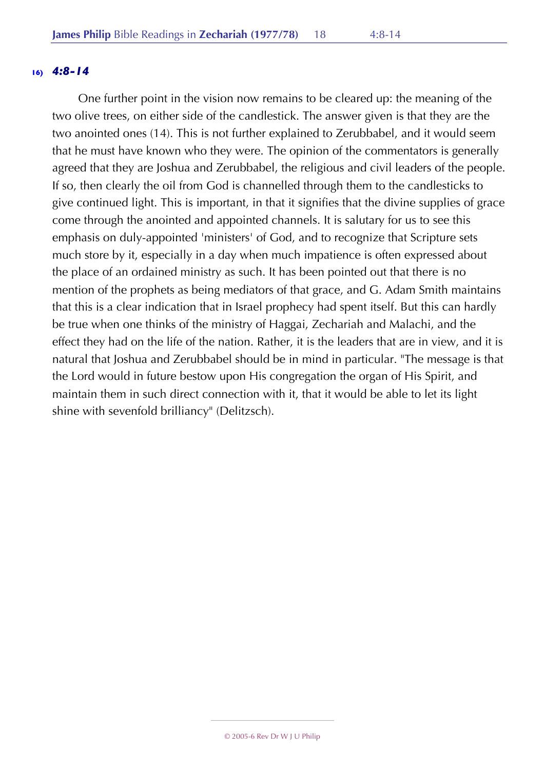#### **16)** *4:8-14*

One further point in the vision now remains to be cleared up: the meaning of the two olive trees, on either side of the candlestick. The answer given is that they are the two anointed ones (14). This is not further explained to Zerubbabel, and it would seem that he must have known who they were. The opinion of the commentators is generally agreed that they are Joshua and Zerubbabel, the religious and civil leaders of the people. If so, then clearly the oil from God is channelled through them to the candlesticks to give continued light. This is important, in that it signifies that the divine supplies of grace come through the anointed and appointed channels. It is salutary for us to see this emphasis on duly-appointed 'ministers' of God, and to recognize that Scripture sets much store by it, especially in a day when much impatience is often expressed about the place of an ordained ministry as such. It has been pointed out that there is no mention of the prophets as being mediators of that grace, and G. Adam Smith maintains that this is a clear indication that in Israel prophecy had spent itself. But this can hardly be true when one thinks of the ministry of Haggai, Zechariah and Malachi, and the effect they had on the life of the nation. Rather, it is the leaders that are in view, and it is natural that Joshua and Zerubbabel should be in mind in particular. "The message is that the Lord would in future bestow upon His congregation the organ of His Spirit, and maintain them in such direct connection with it, that it would be able to let its light shine with sevenfold brilliancy" (Delitzsch).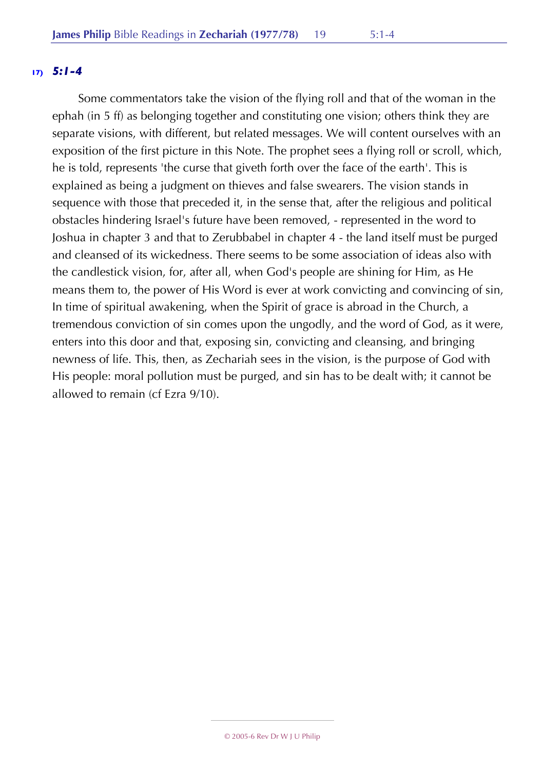## **17)** *5:1-4*

Some commentators take the vision of the flying roll and that of the woman in the ephah (in 5 ff) as belonging together and constituting one vision; others think they are separate visions, with different, but related messages. We will content ourselves with an exposition of the first picture in this Note. The prophet sees a flying roll or scroll, which, he is told, represents 'the curse that giveth forth over the face of the earth'. This is explained as being a judgment on thieves and false swearers. The vision stands in sequence with those that preceded it, in the sense that, after the religious and political obstacles hindering Israel's future have been removed, - represented in the word to Joshua in chapter 3 and that to Zerubbabel in chapter 4 - the land itself must be purged and cleansed of its wickedness. There seems to be some association of ideas also with the candlestick vision, for, after all, when God's people are shining for Him, as He means them to, the power of His Word is ever at work convicting and convincing of sin, In time of spiritual awakening, when the Spirit of grace is abroad in the Church, a tremendous conviction of sin comes upon the ungodly, and the word of God, as it were, enters into this door and that, exposing sin, convicting and cleansing, and bringing newness of life. This, then, as Zechariah sees in the vision, is the purpose of God with His people: moral pollution must be purged, and sin has to be dealt with; it cannot be allowed to remain (cf Ezra 9/10).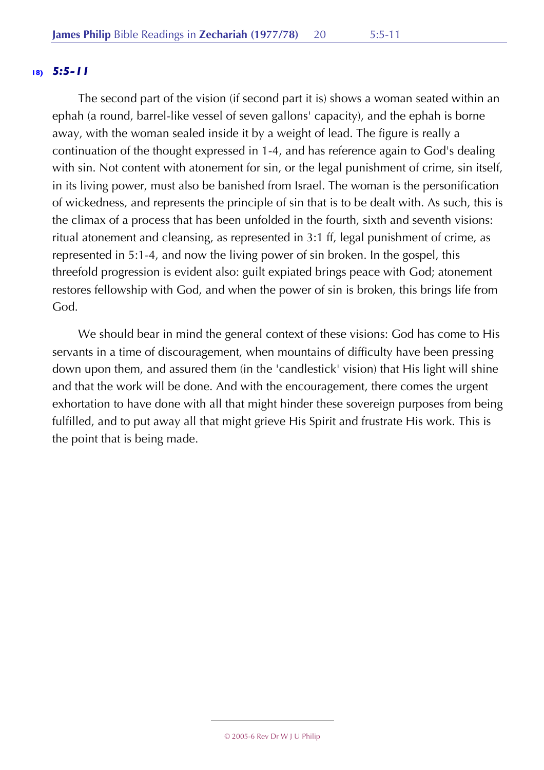# **18)** *5:5-11*

The second part of the vision (if second part it is) shows a woman seated within an ephah (a round, barrel-like vessel of seven gallons' capacity), and the ephah is borne away, with the woman sealed inside it by a weight of lead. The figure is really a continuation of the thought expressed in 1-4, and has reference again to God's dealing with sin. Not content with atonement for sin, or the legal punishment of crime, sin itself, in its living power, must also be banished from Israel. The woman is the personification of wickedness, and represents the principle of sin that is to be dealt with. As such, this is the climax of a process that has been unfolded in the fourth, sixth and seventh visions: ritual atonement and cleansing, as represented in 3:1 ff, legal punishment of crime, as represented in 5:1-4, and now the living power of sin broken. In the gospel, this threefold progression is evident also: guilt expiated brings peace with God; atonement restores fellowship with God, and when the power of sin is broken, this brings life from God.

We should bear in mind the general context of these visions: God has come to His servants in a time of discouragement, when mountains of difficulty have been pressing down upon them, and assured them (in the 'candlestick' vision) that His light will shine and that the work will be done. And with the encouragement, there comes the urgent exhortation to have done with all that might hinder these sovereign purposes from being fulfilled, and to put away all that might grieve His Spirit and frustrate His work. This is the point that is being made.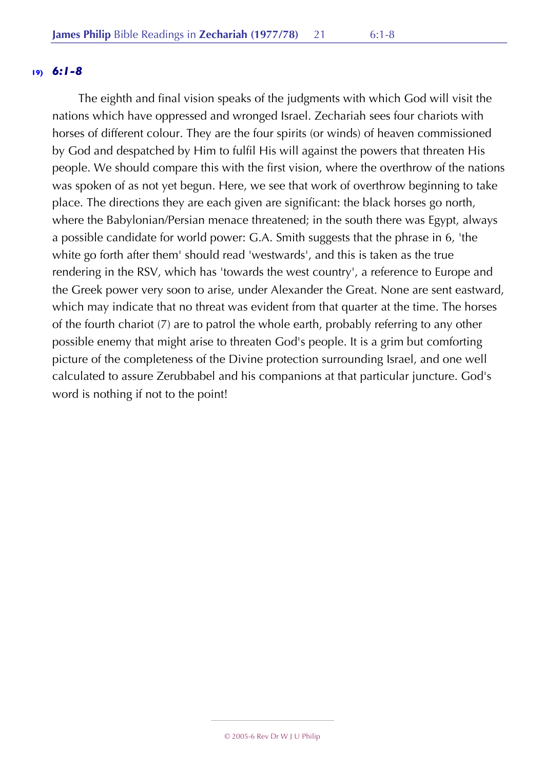#### **19)** *6:1-8*

The eighth and final vision speaks of the judgments with which God will visit the nations which have oppressed and wronged Israel. Zechariah sees four chariots with horses of different colour. They are the four spirits (or winds) of heaven commissioned by God and despatched by Him to fulfil His will against the powers that threaten His people. We should compare this with the first vision, where the overthrow of the nations was spoken of as not yet begun. Here, we see that work of overthrow beginning to take place. The directions they are each given are significant: the black horses go north, where the Babylonian/Persian menace threatened; in the south there was Egypt, always a possible candidate for world power: G.A. Smith suggests that the phrase in 6, 'the white go forth after them' should read 'westwards', and this is taken as the true rendering in the RSV, which has 'towards the west country', a reference to Europe and the Greek power very soon to arise, under Alexander the Great. None are sent eastward, which may indicate that no threat was evident from that quarter at the time. The horses of the fourth chariot (7) are to patrol the whole earth, probably referring to any other possible enemy that might arise to threaten God's people. It is a grim but comforting picture of the completeness of the Divine protection surrounding Israel, and one well calculated to assure Zerubbabel and his companions at that particular juncture. God's word is nothing if not to the point!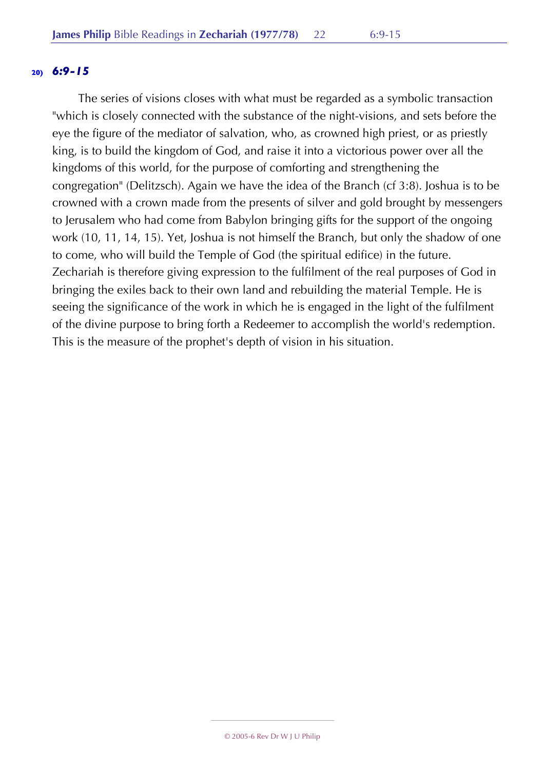#### **20)** *6:9-15*

The series of visions closes with what must be regarded as a symbolic transaction "which is closely connected with the substance of the night-visions, and sets before the eye the figure of the mediator of salvation, who, as crowned high priest, or as priestly king, is to build the kingdom of God, and raise it into a victorious power over all the kingdoms of this world, for the purpose of comforting and strengthening the congregation" (Delitzsch). Again we have the idea of the Branch (cf 3:8). Joshua is to be crowned with a crown made from the presents of silver and gold brought by messengers to Jerusalem who had come from Babylon bringing gifts for the support of the ongoing work (10, 11, 14, 15). Yet, Joshua is not himself the Branch, but only the shadow of one to come, who will build the Temple of God (the spiritual edifice) in the future. Zechariah is therefore giving expression to the fulfilment of the real purposes of God in bringing the exiles back to their own land and rebuilding the material Temple. He is seeing the significance of the work in which he is engaged in the light of the fulfilment of the divine purpose to bring forth a Redeemer to accomplish the world's redemption. This is the measure of the prophet's depth of vision in his situation.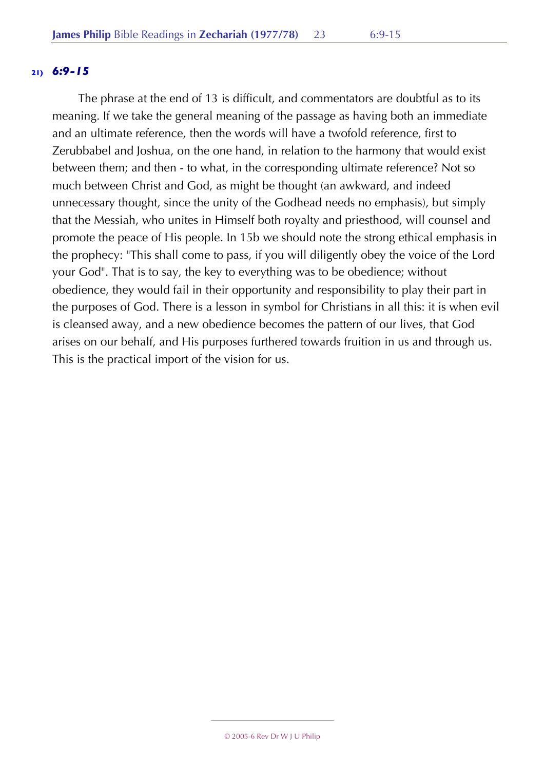#### **21)** *6:9-15*

The phrase at the end of 13 is difficult, and commentators are doubtful as to its meaning. If we take the general meaning of the passage as having both an immediate and an ultimate reference, then the words will have a twofold reference, first to Zerubbabel and Joshua, on the one hand, in relation to the harmony that would exist between them; and then - to what, in the corresponding ultimate reference? Not so much between Christ and God, as might be thought (an awkward, and indeed unnecessary thought, since the unity of the Godhead needs no emphasis), but simply that the Messiah, who unites in Himself both royalty and priesthood, will counsel and promote the peace of His people. In 15b we should note the strong ethical emphasis in the prophecy: "This shall come to pass, if you will diligently obey the voice of the Lord your God". That is to say, the key to everything was to be obedience; without obedience, they would fail in their opportunity and responsibility to play their part in the purposes of God. There is a lesson in symbol for Christians in all this: it is when evil is cleansed away, and a new obedience becomes the pattern of our lives, that God arises on our behalf, and His purposes furthered towards fruition in us and through us. This is the practical import of the vision for us.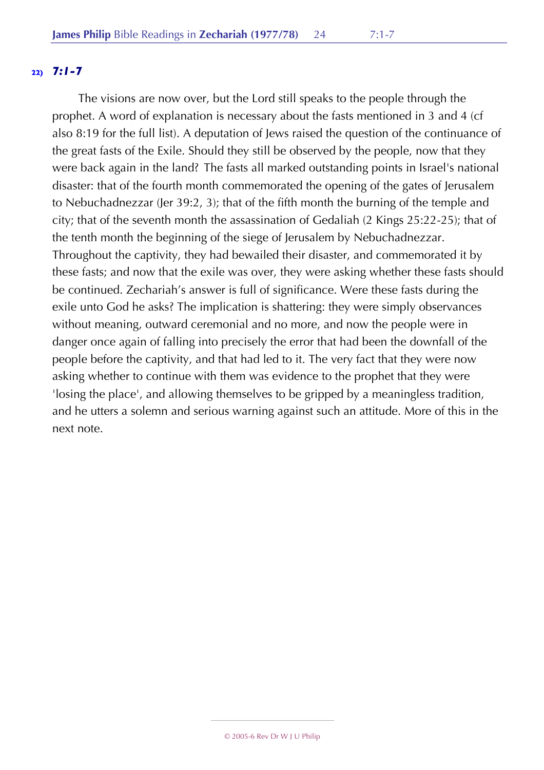## **22)** *7:1-7*

The visions are now over, but the Lord still speaks to the people through the prophet. A word of explanation is necessary about the fasts mentioned in 3 and 4 (cf also 8:19 for the full list). A deputation of Jews raised the question of the continuance of the great fasts of the Exile. Should they still be observed by the people, now that they were back again in the land? The fasts all marked outstanding points in Israel's national disaster: that of the fourth month commemorated the opening of the gates of Jerusalem to Nebuchadnezzar (Jer 39:2, 3); that of the fifth month the burning of the temple and city; that of the seventh month the assassination of Gedaliah (2 Kings 25:22-25); that of the tenth month the beginning of the siege of Jerusalem by Nebuchadnezzar. Throughout the captivity, they had bewailed their disaster, and commemorated it by these fasts; and now that the exile was over, they were asking whether these fasts should be continued. Zechariah's answer is full of significance. Were these fasts during the exile unto God he asks? The implication is shattering: they were simply observances without meaning, outward ceremonial and no more, and now the people were in danger once again of falling into precisely the error that had been the downfall of the people before the captivity, and that had led to it. The very fact that they were now asking whether to continue with them was evidence to the prophet that they were 'losing the place', and allowing themselves to be gripped by a meaningless tradition, and he utters a solemn and serious warning against such an attitude. More of this in the next note.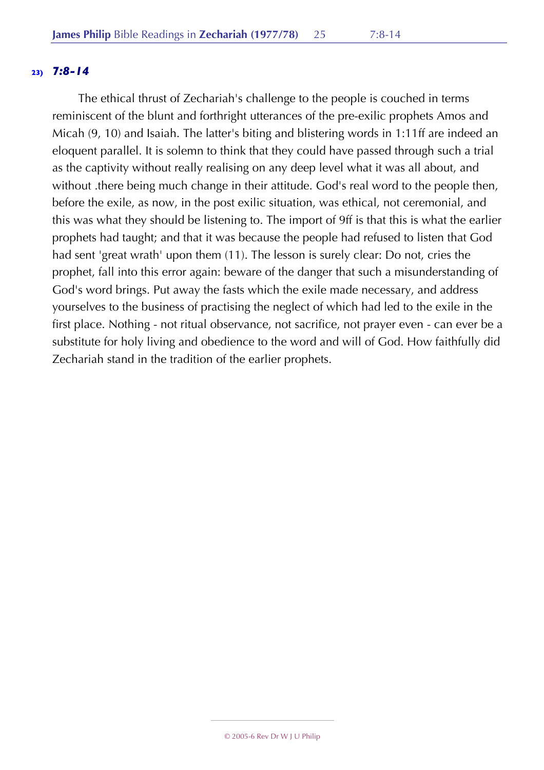## **23)** *7:8-14*

The ethical thrust of Zechariah's challenge to the people is couched in terms reminiscent of the blunt and forthright utterances of the pre-exilic prophets Amos and Micah (9, 10) and Isaiah. The latter's biting and blistering words in 1:11ff are indeed an eloquent parallel. It is solemn to think that they could have passed through such a trial as the captivity without really realising on any deep level what it was all about, and without there being much change in their attitude. God's real word to the people then, before the exile, as now, in the post exilic situation, was ethical, not ceremonial, and this was what they should be listening to. The import of 9ff is that this is what the earlier prophets had taught; and that it was because the people had refused to listen that God had sent 'great wrath' upon them (11). The lesson is surely clear: Do not, cries the prophet, fall into this error again: beware of the danger that such a misunderstanding of God's word brings. Put away the fasts which the exile made necessary, and address yourselves to the business of practising the neglect of which had led to the exile in the first place. Nothing - not ritual observance, not sacrifice, not prayer even - can ever be a substitute for holy living and obedience to the word and will of God. How faithfully did Zechariah stand in the tradition of the earlier prophets.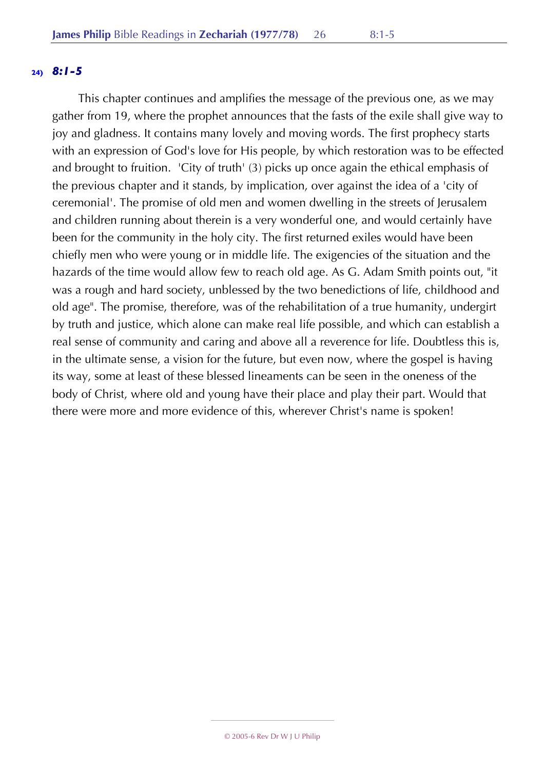### **24)** *8:1-5*

This chapter continues and amplifies the message of the previous one, as we may gather from 19, where the prophet announces that the fasts of the exile shall give way to joy and gladness. It contains many lovely and moving words. The first prophecy starts with an expression of God's love for His people, by which restoration was to be effected and brought to fruition. 'City of truth' (3) picks up once again the ethical emphasis of the previous chapter and it stands, by implication, over against the idea of a 'city of ceremonial'. The promise of old men and women dwelling in the streets of Jerusalem and children running about therein is a very wonderful one, and would certainly have been for the community in the holy city. The first returned exiles would have been chiefly men who were young or in middle life. The exigencies of the situation and the hazards of the time would allow few to reach old age. As G. Adam Smith points out, "it was a rough and hard society, unblessed by the two benedictions of life, childhood and old age". The promise, therefore, was of the rehabilitation of a true humanity, undergirt by truth and justice, which alone can make real life possible, and which can establish a real sense of community and caring and above all a reverence for life. Doubtless this is, in the ultimate sense, a vision for the future, but even now, where the gospel is having its way, some at least of these blessed lineaments can be seen in the oneness of the body of Christ, where old and young have their place and play their part. Would that there were more and more evidence of this, wherever Christ's name is spoken!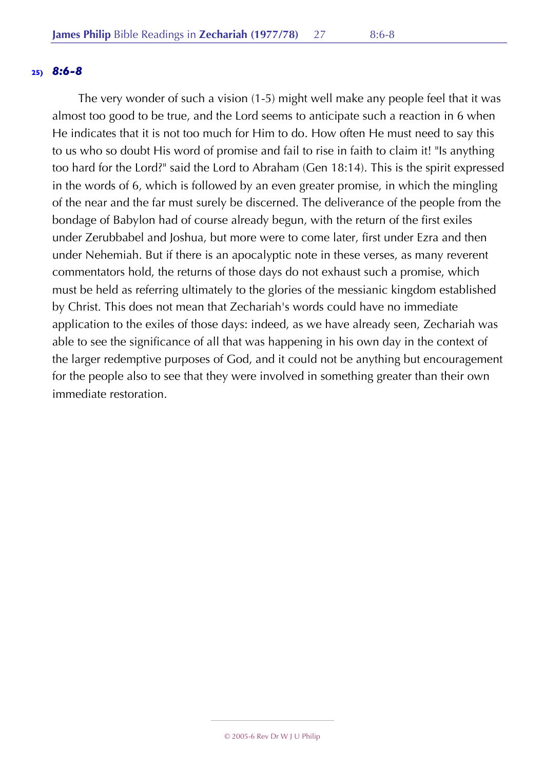#### **25)** *8:6-8*

The very wonder of such a vision (1-5) might well make any people feel that it was almost too good to be true, and the Lord seems to anticipate such a reaction in 6 when He indicates that it is not too much for Him to do. How often He must need to say this to us who so doubt His word of promise and fail to rise in faith to claim it! "Is anything too hard for the Lord?" said the Lord to Abraham (Gen 18:14). This is the spirit expressed in the words of 6, which is followed by an even greater promise, in which the mingling of the near and the far must surely be discerned. The deliverance of the people from the bondage of Babylon had of course already begun, with the return of the first exiles under Zerubbabel and Joshua, but more were to come later, first under Ezra and then under Nehemiah. But if there is an apocalyptic note in these verses, as many reverent commentators hold, the returns of those days do not exhaust such a promise, which must be held as referring ultimately to the glories of the messianic kingdom established by Christ. This does not mean that Zechariah's words could have no immediate application to the exiles of those days: indeed, as we have already seen, Zechariah was able to see the significance of all that was happening in his own day in the context of the larger redemptive purposes of God, and it could not be anything but encouragement for the people also to see that they were involved in something greater than their own immediate restoration.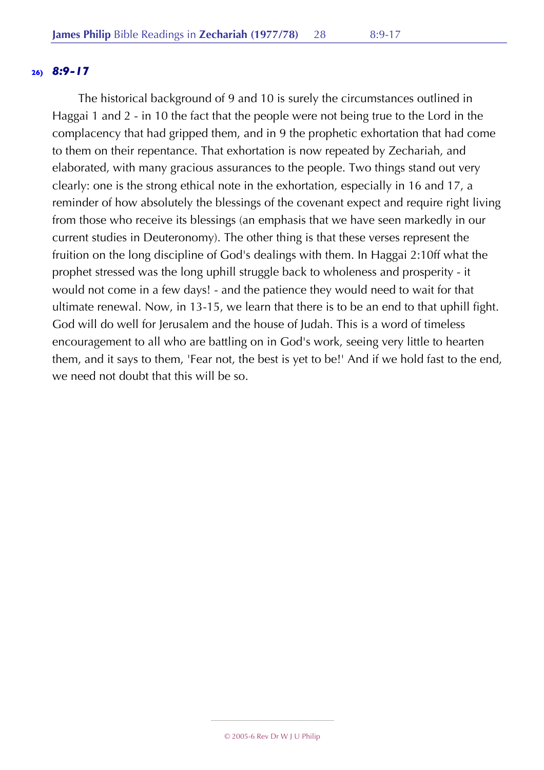## **26)** *8:9-17*

The historical background of 9 and 10 is surely the circumstances outlined in Haggai 1 and 2 - in 10 the fact that the people were not being true to the Lord in the complacency that had gripped them, and in 9 the prophetic exhortation that had come to them on their repentance. That exhortation is now repeated by Zechariah, and elaborated, with many gracious assurances to the people. Two things stand out very clearly: one is the strong ethical note in the exhortation, especially in 16 and 17, a reminder of how absolutely the blessings of the covenant expect and require right living from those who receive its blessings (an emphasis that we have seen markedly in our current studies in Deuteronomy). The other thing is that these verses represent the fruition on the long discipline of God's dealings with them. In Haggai 2:10ff what the prophet stressed was the long uphill struggle back to wholeness and prosperity - it would not come in a few days! - and the patience they would need to wait for that ultimate renewal. Now, in 13-15, we learn that there is to be an end to that uphill fight. God will do well for Jerusalem and the house of Judah. This is a word of timeless encouragement to all who are battling on in God's work, seeing very little to hearten them, and it says to them, 'Fear not, the best is yet to be!' And if we hold fast to the end, we need not doubt that this will be so.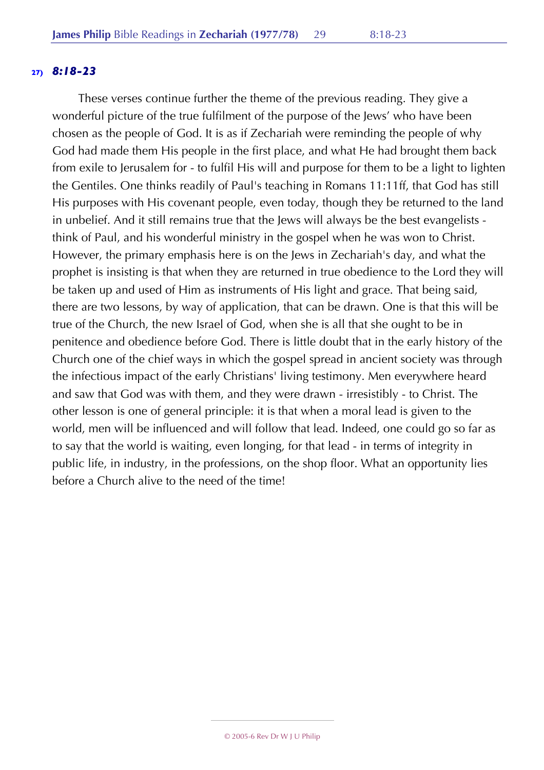## **27)** *8:18-23*

These verses continue further the theme of the previous reading. They give a wonderful picture of the true fulfilment of the purpose of the Jews' who have been chosen as the people of God. It is as if Zechariah were reminding the people of why God had made them His people in the first place, and what He had brought them back from exile to Jerusalem for - to fulfil His will and purpose for them to be a light to lighten the Gentiles. One thinks readily of Paul's teaching in Romans 11:11ff, that God has still His purposes with His covenant people, even today, though they be returned to the land in unbelief. And it still remains true that the Jews will always be the best evangelists think of Paul, and his wonderful ministry in the gospel when he was won to Christ. However, the primary emphasis here is on the Jews in Zechariah's day, and what the prophet is insisting is that when they are returned in true obedience to the Lord they will be taken up and used of Him as instruments of His light and grace. That being said, there are two lessons, by way of application, that can be drawn. One is that this will be true of the Church, the new Israel of God, when she is all that she ought to be in penitence and obedience before God. There is little doubt that in the early history of the Church one of the chief ways in which the gospel spread in ancient society was through the infectious impact of the early Christians' living testimony. Men everywhere heard and saw that God was with them, and they were drawn - irresistibly - to Christ. The other lesson is one of general principle: it is that when a moral lead is given to the world, men will be influenced and will follow that lead. Indeed, one could go so far as to say that the world is waiting, even longing, for that lead - in terms of integrity in public life, in industry, in the professions, on the shop floor. What an opportunity lies before a Church alive to the need of the time!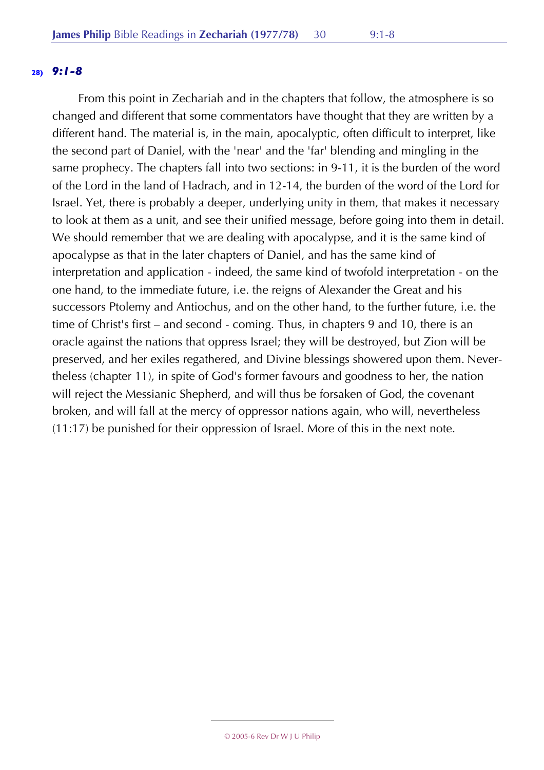From this point in Zechariah and in the chapters that follow, the atmosphere is so changed and different that some commentators have thought that they are written by a different hand. The material is, in the main, apocalyptic, often difficult to interpret, like the second part of Daniel, with the 'near' and the 'far' blending and mingling in the same prophecy. The chapters fall into two sections: in 9-11, it is the burden of the word of the Lord in the land of Hadrach, and in 12-14, the burden of the word of the Lord for Israel. Yet, there is probably a deeper, underlying unity in them, that makes it necessary to look at them as a unit, and see their unified message, before going into them in detail. We should remember that we are dealing with apocalypse, and it is the same kind of apocalypse as that in the later chapters of Daniel, and has the same kind of interpretation and application - indeed, the same kind of twofold interpretation - on the one hand, to the immediate future, i.e. the reigns of Alexander the Great and his successors Ptolemy and Antiochus, and on the other hand, to the further future, i.e. the time of Christ's first – and second - coming. Thus, in chapters 9 and 10, there is an oracle against the nations that oppress Israel; they will be destroyed, but Zion will be preserved, and her exiles regathered, and Divine blessings showered upon them. Nevertheless (chapter 11), in spite of God's former favours and goodness to her, the nation will reject the Messianic Shepherd, and will thus be forsaken of God, the covenant broken, and will fall at the mercy of oppressor nations again, who will, nevertheless (11:17) be punished for their oppression of Israel. More of this in the next note.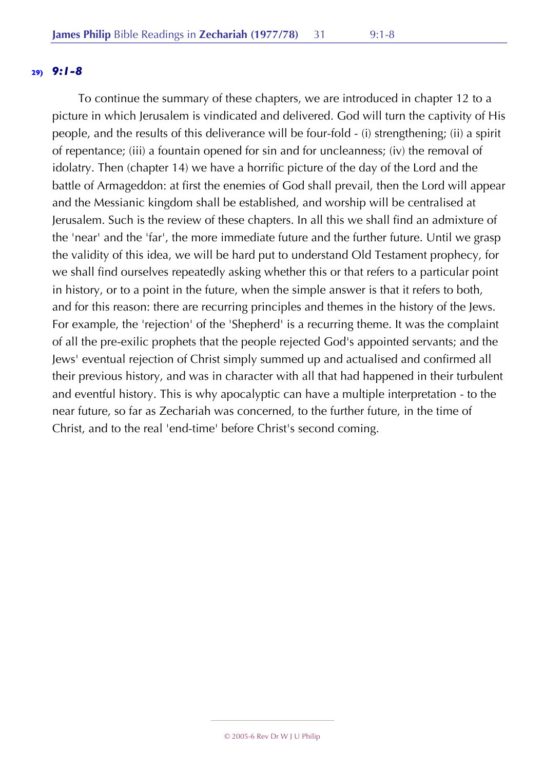To continue the summary of these chapters, we are introduced in chapter 12 to a picture in which Jerusalem is vindicated and delivered. God will turn the captivity of His people, and the results of this deliverance will be four-fold - (i) strengthening; (ii) a spirit of repentance; (iii) a fountain opened for sin and for uncleanness; (iv) the removal of idolatry. Then (chapter 14) we have a horrific picture of the day of the Lord and the battle of Armageddon: at first the enemies of God shall prevail, then the Lord will appear and the Messianic kingdom shall be established, and worship will be centralised at Jerusalem. Such is the review of these chapters. In all this we shall find an admixture of the 'near' and the 'far', the more immediate future and the further future. Until we grasp the validity of this idea, we will be hard put to understand Old Testament prophecy, for we shall find ourselves repeatedly asking whether this or that refers to a particular point in history, or to a point in the future, when the simple answer is that it refers to both, and for this reason: there are recurring principles and themes in the history of the Jews. For example, the 'rejection' of the 'Shepherd' is a recurring theme. It was the complaint of all the pre-exilic prophets that the people rejected God's appointed servants; and the Jews' eventual rejection of Christ simply summed up and actualised and confirmed all their previous history, and was in character with all that had happened in their turbulent and eventful history. This is why apocalyptic can have a multiple interpretation - to the near future, so far as Zechariah was concerned, to the further future, in the time of Christ, and to the real 'end-time' before Christ's second coming.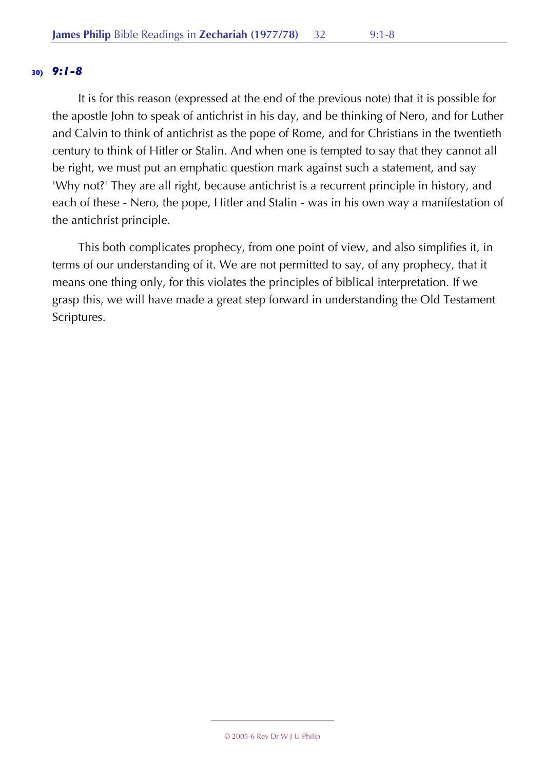It is for this reason (expressed at the end of the previous note) that it is possible for the apostle John to speak of antichrist in his day, and be thinking of Nero, and for Luther and Calvin to think of antichrist as the pope of Rome, and for Christians in the twentieth century to think of Hitler or Stalin. And when one is tempted to say that they cannot all be right, we must put an emphatic question mark against such a statement, and say 'Why not?' They are all right, because antichrist is a recurrent principle in history, and each of these - Nero, the pope, Hitler and Stalin - was in his own way a manifestation of the antichrist principle.

This both complicates prophecy, from one point of view, and also simplifies it, in terms of our understanding of it. We are not permitted to say, of any prophecy, that it means one thing only, for this violates the principles of biblical interpretation. If we grasp this, we will have made a great step forward in understanding the Old Testament Scriptures.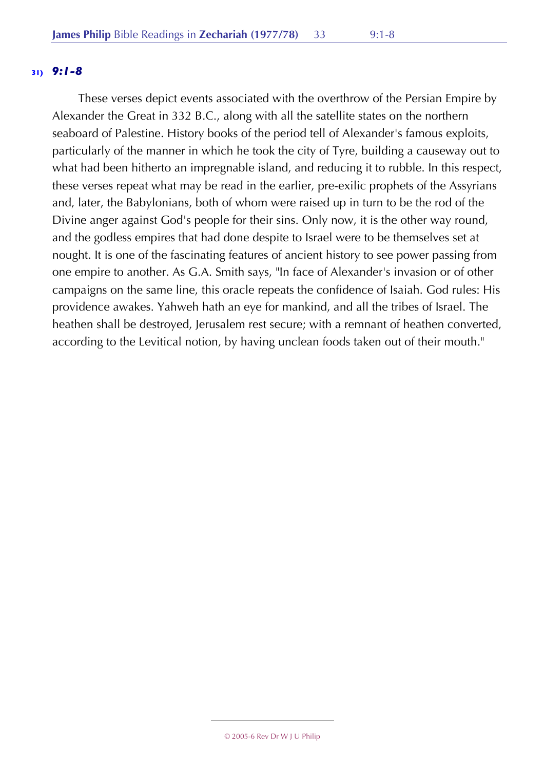These verses depict events associated with the overthrow of the Persian Empire by Alexander the Great in 332 B.C., along with all the satellite states on the northern seaboard of Palestine. History books of the period tell of Alexander's famous exploits, particularly of the manner in which he took the city of Tyre, building a causeway out to what had been hitherto an impregnable island, and reducing it to rubble. In this respect, these verses repeat what may be read in the earlier, pre-exilic prophets of the Assyrians and, later, the Babylonians, both of whom were raised up in turn to be the rod of the Divine anger against God's people for their sins. Only now, it is the other way round, and the godless empires that had done despite to Israel were to be themselves set at nought. It is one of the fascinating features of ancient history to see power passing from one empire to another. As G.A. Smith says, "In face of Alexander's invasion or of other campaigns on the same line, this oracle repeats the confidence of Isaiah. God rules: His providence awakes. Yahweh hath an eye for mankind, and all the tribes of Israel. The heathen shall be destroyed, Jerusalem rest secure; with a remnant of heathen converted, according to the Levitical notion, by having unclean foods taken out of their mouth."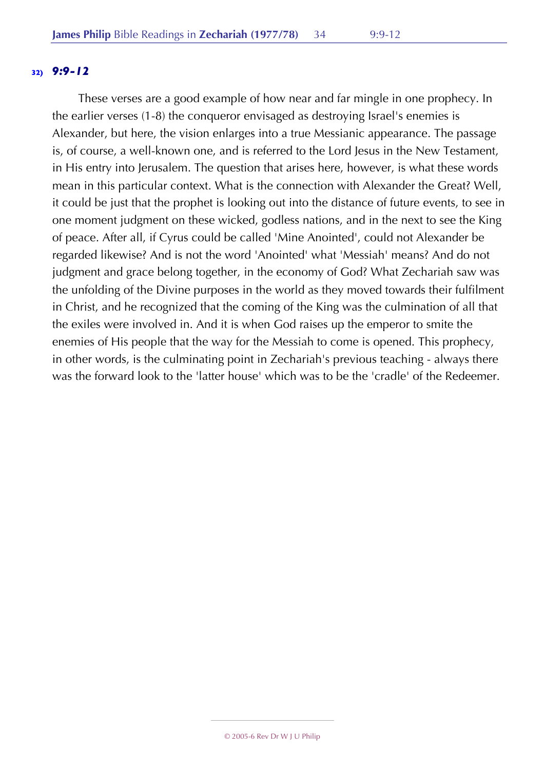#### **32)** *9:9-12*

These verses are a good example of how near and far mingle in one prophecy. In the earlier verses (1-8) the conqueror envisaged as destroying Israel's enemies is Alexander, but here, the vision enlarges into a true Messianic appearance. The passage is, of course, a well-known one, and is referred to the Lord Jesus in the New Testament, in His entry into Jerusalem. The question that arises here, however, is what these words mean in this particular context. What is the connection with Alexander the Great? Well, it could be just that the prophet is looking out into the distance of future events, to see in one moment judgment on these wicked, godless nations, and in the next to see the King of peace. After all, if Cyrus could be called 'Mine Anointed', could not Alexander be regarded likewise? And is not the word 'Anointed' what 'Messiah' means? And do not judgment and grace belong together, in the economy of God? What Zechariah saw was the unfolding of the Divine purposes in the world as they moved towards their fulfilment in Christ, and he recognized that the coming of the King was the culmination of all that the exiles were involved in. And it is when God raises up the emperor to smite the enemies of His people that the way for the Messiah to come is opened. This prophecy, in other words, is the culminating point in Zechariah's previous teaching - always there was the forward look to the 'latter house' which was to be the 'cradle' of the Redeemer.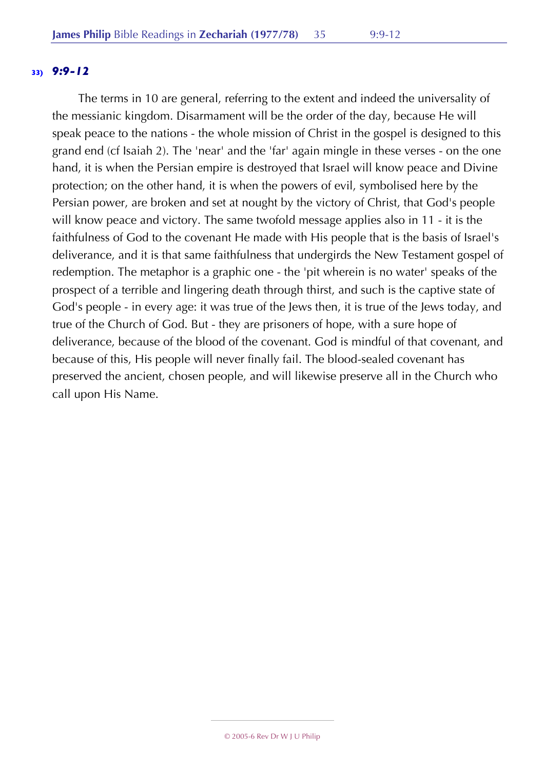#### **33)** *9:9-12*

The terms in 10 are general, referring to the extent and indeed the universality of the messianic kingdom. Disarmament will be the order of the day, because He will speak peace to the nations - the whole mission of Christ in the gospel is designed to this grand end (cf Isaiah 2). The 'near' and the 'far' again mingle in these verses - on the one hand, it is when the Persian empire is destroyed that Israel will know peace and Divine protection; on the other hand, it is when the powers of evil, symbolised here by the Persian power, are broken and set at nought by the victory of Christ, that God's people will know peace and victory. The same twofold message applies also in 11 - it is the faithfulness of God to the covenant He made with His people that is the basis of Israel's deliverance, and it is that same faithfulness that undergirds the New Testament gospel of redemption. The metaphor is a graphic one - the 'pit wherein is no water' speaks of the prospect of a terrible and lingering death through thirst, and such is the captive state of God's people - in every age: it was true of the Jews then, it is true of the Jews today, and true of the Church of God. But - they are prisoners of hope, with a sure hope of deliverance, because of the blood of the covenant. God is mindful of that covenant, and because of this, His people will never finally fail. The blood-sealed covenant has preserved the ancient, chosen people, and will likewise preserve all in the Church who call upon His Name.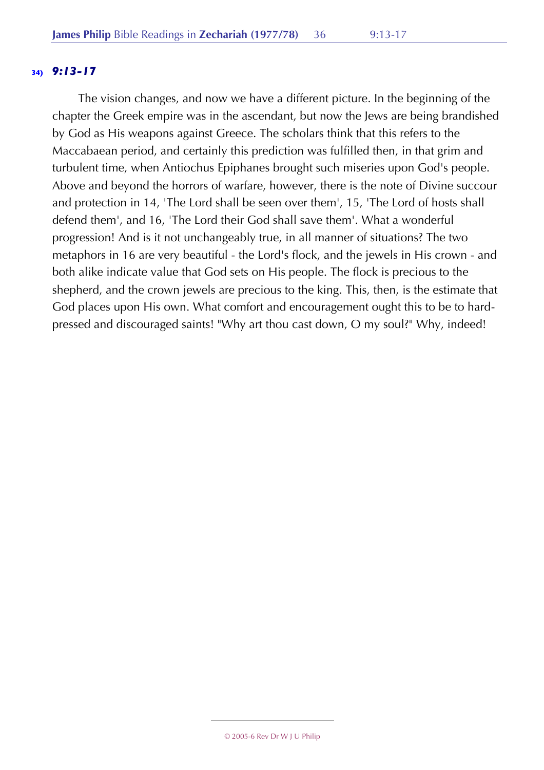The vision changes, and now we have a different picture. In the beginning of the chapter the Greek empire was in the ascendant, but now the Jews are being brandished by God as His weapons against Greece. The scholars think that this refers to the Maccabaean period, and certainly this prediction was fulfilled then, in that grim and turbulent time, when Antiochus Epiphanes brought such miseries upon God's people. Above and beyond the horrors of warfare, however, there is the note of Divine succour and protection in 14, 'The Lord shall be seen over them', 15, 'The Lord of hosts shall defend them', and 16, 'The Lord their God shall save them'. What a wonderful progression! And is it not unchangeably true, in all manner of situations? The two metaphors in 16 are very beautiful - the Lord's flock, and the jewels in His crown - and both alike indicate value that God sets on His people. The flock is precious to the shepherd, and the crown jewels are precious to the king. This, then, is the estimate that God places upon His own. What comfort and encouragement ought this to be to hardpressed and discouraged saints! "Why art thou cast down, O my soul?" Why, indeed!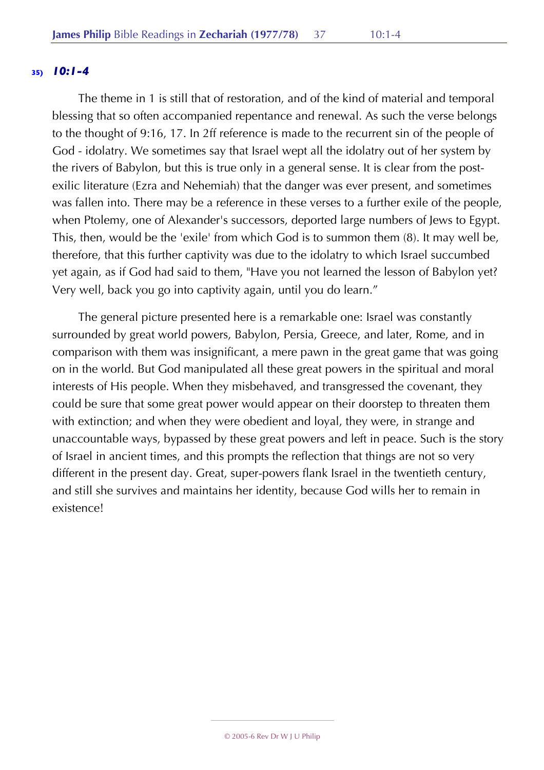#### **35)** *10:1-4*

The theme in 1 is still that of restoration, and of the kind of material and temporal blessing that so often accompanied repentance and renewal. As such the verse belongs to the thought of 9:16, 17. In 2ff reference is made to the recurrent sin of the people of God - idolatry. We sometimes say that Israel wept all the idolatry out of her system by the rivers of Babylon, but this is true only in a general sense. It is clear from the postexilic literature (Ezra and Nehemiah) that the danger was ever present, and sometimes was fallen into. There may be a reference in these verses to a further exile of the people, when Ptolemy, one of Alexander's successors, deported large numbers of Jews to Egypt. This, then, would be the 'exile' from which God is to summon them (8). It may well be, therefore, that this further captivity was due to the idolatry to which Israel succumbed yet again, as if God had said to them, "Have you not learned the lesson of Babylon yet? Very well, back you go into captivity again, until you do learn."

The general picture presented here is a remarkable one: Israel was constantly surrounded by great world powers, Babylon, Persia, Greece, and later, Rome, and in comparison with them was insignificant, a mere pawn in the great game that was going on in the world. But God manipulated all these great powers in the spiritual and moral interests of His people. When they misbehaved, and transgressed the covenant, they could be sure that some great power would appear on their doorstep to threaten them with extinction; and when they were obedient and loyal, they were, in strange and unaccountable ways, bypassed by these great powers and left in peace. Such is the story of Israel in ancient times, and this prompts the reflection that things are not so very different in the present day. Great, super-powers flank Israel in the twentieth century, and still she survives and maintains her identity, because God wills her to remain in existence!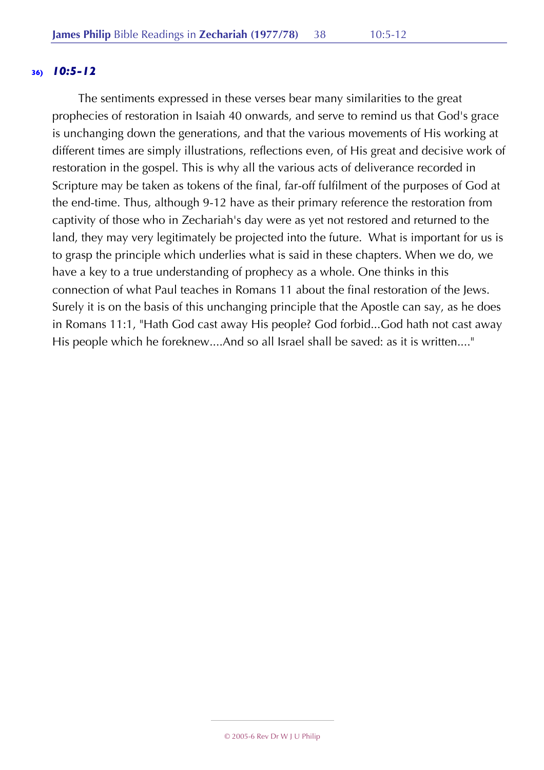#### **36)** *10:5-12*

The sentiments expressed in these verses bear many similarities to the great prophecies of restoration in Isaiah 40 onwards, and serve to remind us that God's grace is unchanging down the generations, and that the various movements of His working at different times are simply illustrations, reflections even, of His great and decisive work of restoration in the gospel. This is why all the various acts of deliverance recorded in Scripture may be taken as tokens of the final, far-off fulfilment of the purposes of God at the end-time. Thus, although 9-12 have as their primary reference the restoration from captivity of those who in Zechariah's day were as yet not restored and returned to the land, they may very legitimately be projected into the future. What is important for us is to grasp the principle which underlies what is said in these chapters. When we do, we have a key to a true understanding of prophecy as a whole. One thinks in this connection of what Paul teaches in Romans 11 about the final restoration of the Jews. Surely it is on the basis of this unchanging principle that the Apostle can say, as he does in Romans 11:1, "Hath God cast away His people? God forbid...God hath not cast away His people which he foreknew....And so all Israel shall be saved: as it is written...."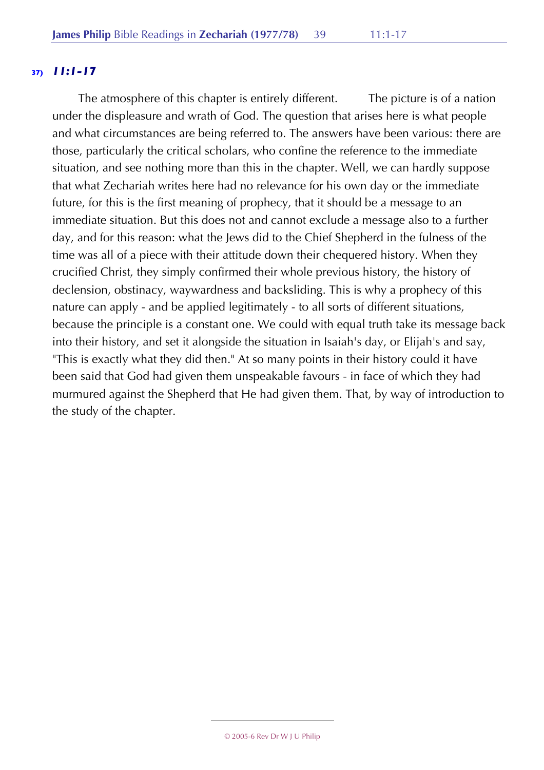# **37)** *11:1-17*

The atmosphere of this chapter is entirely different. The picture is of a nation under the displeasure and wrath of God. The question that arises here is what people and what circumstances are being referred to. The answers have been various: there are those, particularly the critical scholars, who confine the reference to the immediate situation, and see nothing more than this in the chapter. Well, we can hardly suppose that what Zechariah writes here had no relevance for his own day or the immediate future, for this is the first meaning of prophecy, that it should be a message to an immediate situation. But this does not and cannot exclude a message also to a further day, and for this reason: what the Jews did to the Chief Shepherd in the fulness of the time was all of a piece with their attitude down their chequered history. When they crucified Christ, they simply confirmed their whole previous history, the history of declension, obstinacy, waywardness and backsliding. This is why a prophecy of this nature can apply - and be applied legitimately - to all sorts of different situations, because the principle is a constant one. We could with equal truth take its message back into their history, and set it alongside the situation in Isaiah's day, or Elijah's and say, "This is exactly what they did then." At so many points in their history could it have been said that God had given them unspeakable favours - in face of which they had murmured against the Shepherd that He had given them. That, by way of introduction to the study of the chapter.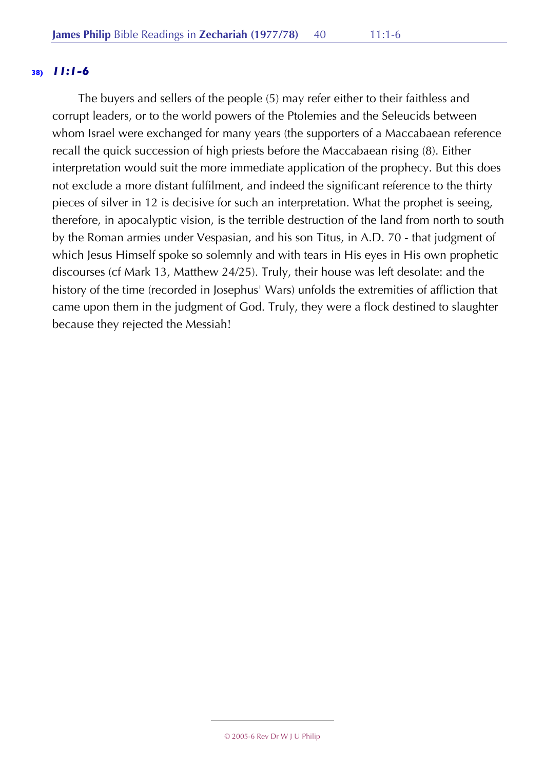#### **38)** *11:1-6*

The buyers and sellers of the people (5) may refer either to their faithless and corrupt leaders, or to the world powers of the Ptolemies and the Seleucids between whom Israel were exchanged for many years (the supporters of a Maccabaean reference recall the quick succession of high priests before the Maccabaean rising (8). Either interpretation would suit the more immediate application of the prophecy. But this does not exclude a more distant fulfilment, and indeed the significant reference to the thirty pieces of silver in 12 is decisive for such an interpretation. What the prophet is seeing, therefore, in apocalyptic vision, is the terrible destruction of the land from north to south by the Roman armies under Vespasian, and his son Titus, in A.D. 70 - that judgment of which Jesus Himself spoke so solemnly and with tears in His eyes in His own prophetic discourses (cf Mark 13, Matthew 24/25). Truly, their house was left desolate: and the history of the time (recorded in Josephus' Wars) unfolds the extremities of affliction that came upon them in the judgment of God. Truly, they were a flock destined to slaughter because they rejected the Messiah!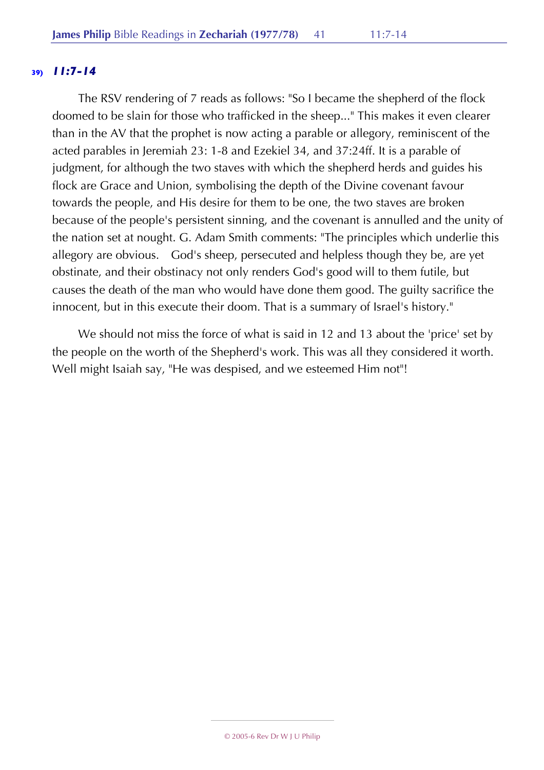## **39)** *11:7-14*

The RSV rendering of 7 reads as follows: "So I became the shepherd of the flock doomed to be slain for those who trafficked in the sheep..." This makes it even clearer than in the AV that the prophet is now acting a parable or allegory, reminiscent of the acted parables in Jeremiah 23: 1-8 and Ezekiel 34, and 37:24ff. It is a parable of judgment, for although the two staves with which the shepherd herds and guides his flock are Grace and Union, symbolising the depth of the Divine covenant favour towards the people, and His desire for them to be one, the two staves are broken because of the people's persistent sinning, and the covenant is annulled and the unity of the nation set at nought. G. Adam Smith comments: "The principles which underlie this allegory are obvious. God's sheep, persecuted and helpless though they be, are yet obstinate, and their obstinacy not only renders God's good will to them futile, but causes the death of the man who would have done them good. The guilty sacrifice the innocent, but in this execute their doom. That is a summary of Israel's history."

We should not miss the force of what is said in 12 and 13 about the 'price' set by the people on the worth of the Shepherd's work. This was all they considered it worth. Well might Isaiah say, "He was despised, and we esteemed Him not"!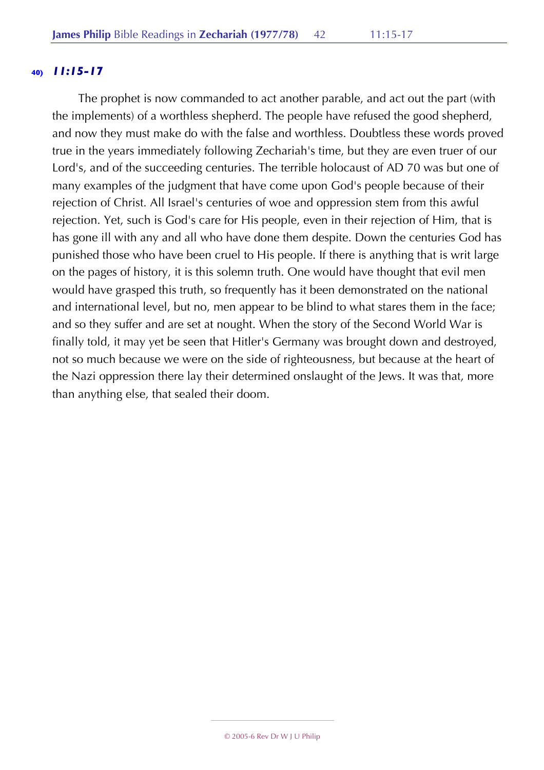#### **40)** *11:15-17*

The prophet is now commanded to act another parable, and act out the part (with the implements) of a worthless shepherd. The people have refused the good shepherd, and now they must make do with the false and worthless. Doubtless these words proved true in the years immediately following Zechariah's time, but they are even truer of our Lord's, and of the succeeding centuries. The terrible holocaust of AD 70 was but one of many examples of the judgment that have come upon God's people because of their rejection of Christ. All Israel's centuries of woe and oppression stem from this awful rejection. Yet, such is God's care for His people, even in their rejection of Him, that is has gone ill with any and all who have done them despite. Down the centuries God has punished those who have been cruel to His people. If there is anything that is writ large on the pages of history, it is this solemn truth. One would have thought that evil men would have grasped this truth, so frequently has it been demonstrated on the national and international level, but no, men appear to be blind to what stares them in the face; and so they suffer and are set at nought. When the story of the Second World War is finally told, it may yet be seen that Hitler's Germany was brought down and destroyed, not so much because we were on the side of righteousness, but because at the heart of the Nazi oppression there lay their determined onslaught of the Jews. It was that, more than anything else, that sealed their doom.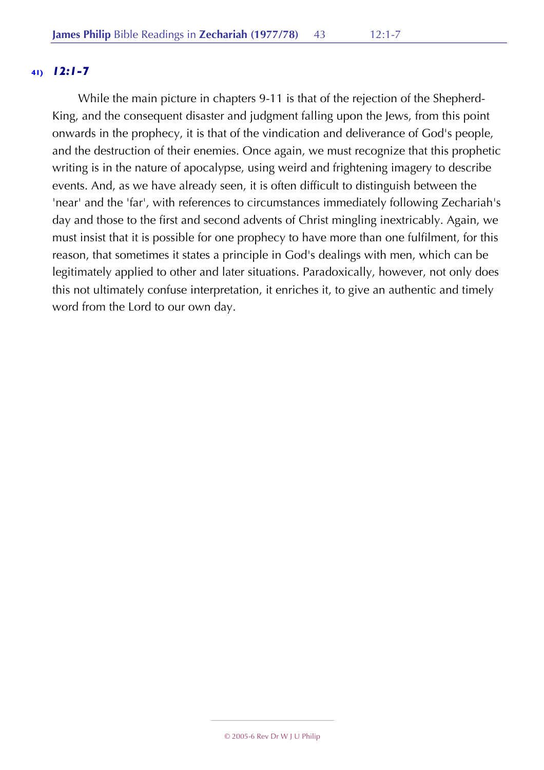# **41)** *12:1-7*

While the main picture in chapters 9-11 is that of the rejection of the Shepherd-King, and the consequent disaster and judgment falling upon the Jews, from this point onwards in the prophecy, it is that of the vindication and deliverance of God's people, and the destruction of their enemies. Once again, we must recognize that this prophetic writing is in the nature of apocalypse, using weird and frightening imagery to describe events. And, as we have already seen, it is often difficult to distinguish between the 'near' and the 'far', with references to circumstances immediately following Zechariah's day and those to the first and second advents of Christ mingling inextricably. Again, we must insist that it is possible for one prophecy to have more than one fulfilment, for this reason, that sometimes it states a principle in God's dealings with men, which can be legitimately applied to other and later situations. Paradoxically, however, not only does this not ultimately confuse interpretation, it enriches it, to give an authentic and timely word from the Lord to our own day.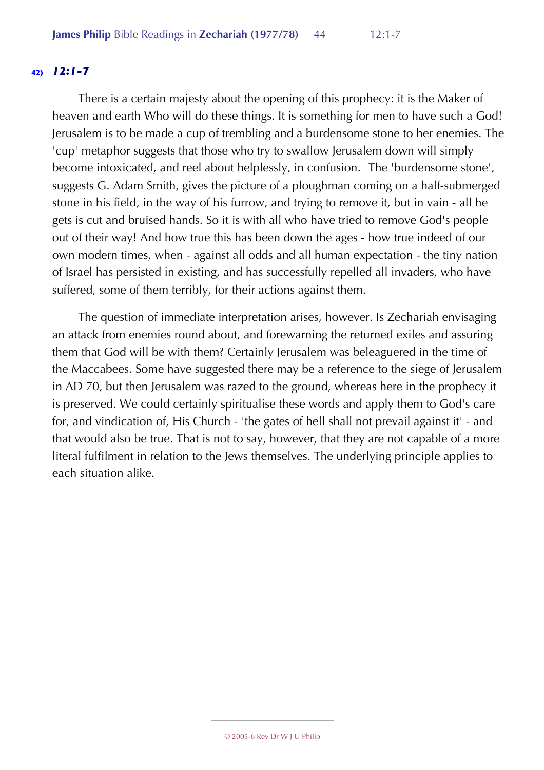# **42)** *12:1-7*

There is a certain majesty about the opening of this prophecy: it is the Maker of heaven and earth Who will do these things. It is something for men to have such a God! Jerusalem is to be made a cup of trembling and a burdensome stone to her enemies. The 'cup' metaphor suggests that those who try to swallow Jerusalem down will simply become intoxicated, and reel about helplessly, in confusion. The 'burdensome stone', suggests G. Adam Smith, gives the picture of a ploughman coming on a half-submerged stone in his field, in the way of his furrow, and trying to remove it, but in vain - all he gets is cut and bruised hands. So it is with all who have tried to remove God's people out of their way! And how true this has been down the ages - how true indeed of our own modern times, when - against all odds and all human expectation - the tiny nation of Israel has persisted in existing, and has successfully repelled all invaders, who have suffered, some of them terribly, for their actions against them.

The question of immediate interpretation arises, however. Is Zechariah envisaging an attack from enemies round about, and forewarning the returned exiles and assuring them that God will be with them? Certainly Jerusalem was beleaguered in the time of the Maccabees. Some have suggested there may be a reference to the siege of Jerusalem in AD 70, but then Jerusalem was razed to the ground, whereas here in the prophecy it is preserved. We could certainly spiritualise these words and apply them to God's care for, and vindication of, His Church - 'the gates of hell shall not prevail against it' - and that would also be true. That is not to say, however, that they are not capable of a more literal fulfilment in relation to the Jews themselves. The underlying principle applies to each situation alike.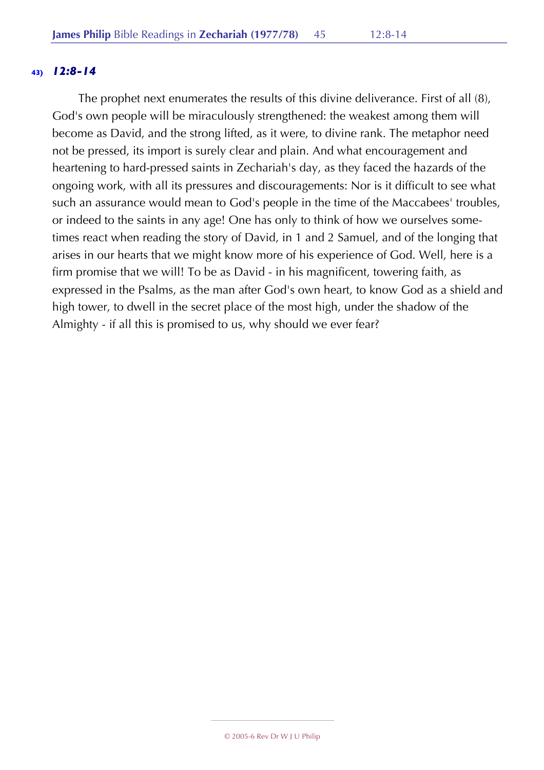## **43)** *12:8-14*

The prophet next enumerates the results of this divine deliverance. First of all (8), God's own people will be miraculously strengthened: the weakest among them will become as David, and the strong lifted, as it were, to divine rank. The metaphor need not be pressed, its import is surely clear and plain. And what encouragement and heartening to hard-pressed saints in Zechariah's day, as they faced the hazards of the ongoing work, with all its pressures and discouragements: Nor is it difficult to see what such an assurance would mean to God's people in the time of the Maccabees' troubles, or indeed to the saints in any age! One has only to think of how we ourselves sometimes react when reading the story of David, in 1 and 2 Samuel, and of the longing that arises in our hearts that we might know more of his experience of God. Well, here is a firm promise that we will! To be as David - in his magnificent, towering faith, as expressed in the Psalms, as the man after God's own heart, to know God as a shield and high tower, to dwell in the secret place of the most high, under the shadow of the Almighty - if all this is promised to us, why should we ever fear?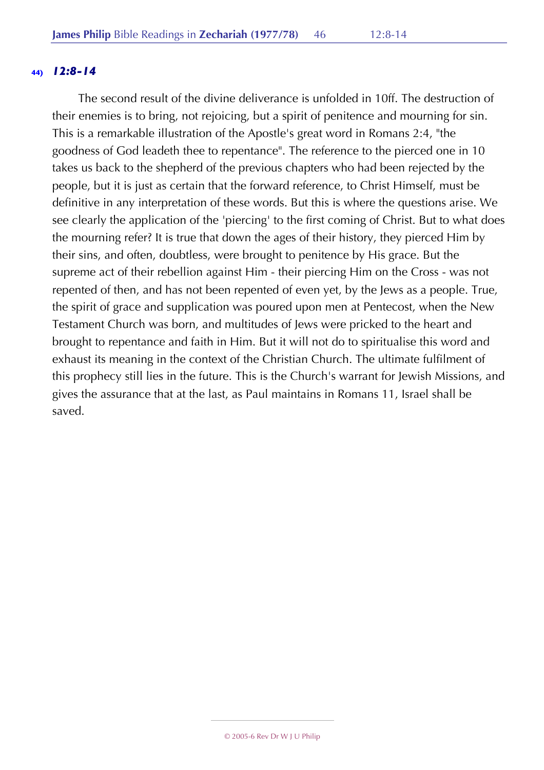### **44)** *12:8-14*

The second result of the divine deliverance is unfolded in 10ff. The destruction of their enemies is to bring, not rejoicing, but a spirit of penitence and mourning for sin. This is a remarkable illustration of the Apostle's great word in Romans 2:4, "the goodness of God leadeth thee to repentance". The reference to the pierced one in 10 takes us back to the shepherd of the previous chapters who had been rejected by the people, but it is just as certain that the forward reference, to Christ Himself, must be definitive in any interpretation of these words. But this is where the questions arise. We see clearly the application of the 'piercing' to the first coming of Christ. But to what does the mourning refer? It is true that down the ages of their history, they pierced Him by their sins, and often, doubtless, were brought to penitence by His grace. But the supreme act of their rebellion against Him - their piercing Him on the Cross - was not repented of then, and has not been repented of even yet, by the Jews as a people. True, the spirit of grace and supplication was poured upon men at Pentecost, when the New Testament Church was born, and multitudes of Jews were pricked to the heart and brought to repentance and faith in Him. But it will not do to spiritualise this word and exhaust its meaning in the context of the Christian Church. The ultimate fulfilment of this prophecy still lies in the future. This is the Church's warrant for Jewish Missions, and gives the assurance that at the last, as Paul maintains in Romans 11, Israel shall be saved.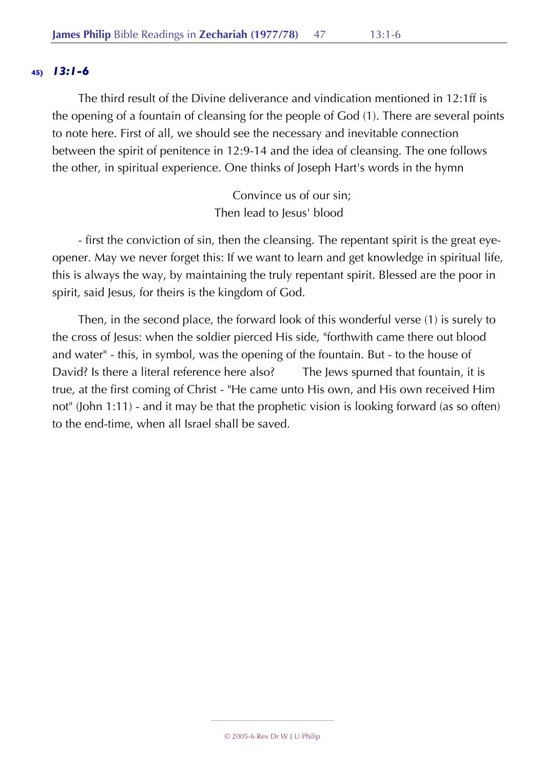The third result of the Divine deliverance and vindication mentioned in 12:1ff is the opening of a fountain of cleansing for the people of God (1). There are several points to note here. First of all, we should see the necessary and inevitable connection between the spirit of penitence in 12:9-14 and the idea of cleansing. The one follows the other, in spiritual experience. One thinks of Joseph Hart's words in the hymn

> Convince us of our sin; Then lead to Jesus' blood

- first the conviction of sin, then the cleansing. The repentant spirit is the great eyeopener. May we never forget this: If we want to learn and get knowledge in spiritual life, this is always the way, by maintaining the truly repentant spirit. Blessed are the poor in spirit, said Jesus, for theirs is the kingdom of God.

Then, in the second place, the forward look of this wonderful verse (1) is surely to the cross of Jesus: when the soldier pierced His side, "forthwith came there out blood and water" - this, in symbol, was the opening of the fountain. But - to the house of David? Is there a literal reference here also? The Jews spurned that fountain, it is true, at the first coming of Christ - "He came unto His own, and His own received Him not" (John 1:11) - and it may be that the prophetic vision is looking forward (as so often) to the end-time, when all Israel shall be saved.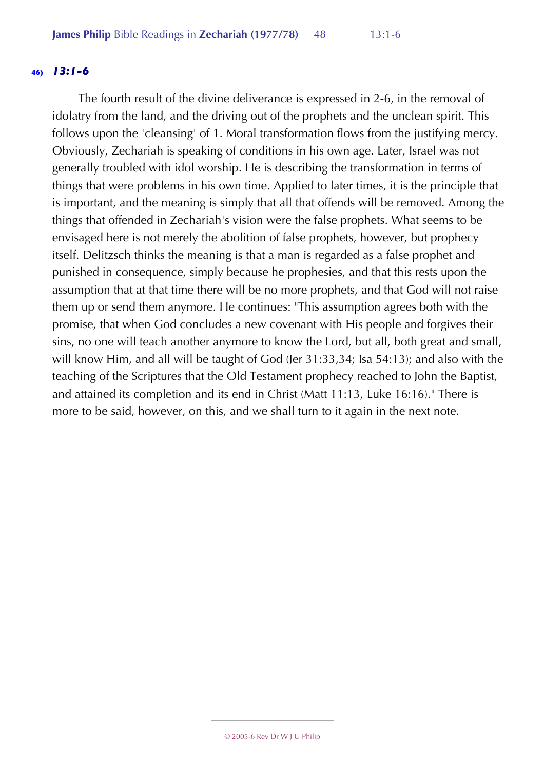The fourth result of the divine deliverance is expressed in 2-6, in the removal of idolatry from the land, and the driving out of the prophets and the unclean spirit. This follows upon the 'cleansing' of 1. Moral transformation flows from the justifying mercy. Obviously, Zechariah is speaking of conditions in his own age. Later, Israel was not generally troubled with idol worship. He is describing the transformation in terms of things that were problems in his own time. Applied to later times, it is the principle that is important, and the meaning is simply that all that offends will be removed. Among the things that offended in Zechariah's vision were the false prophets. What seems to be envisaged here is not merely the abolition of false prophets, however, but prophecy itself. Delitzsch thinks the meaning is that a man is regarded as a false prophet and punished in consequence, simply because he prophesies, and that this rests upon the assumption that at that time there will be no more prophets, and that God will not raise them up or send them anymore. He continues: "This assumption agrees both with the promise, that when God concludes a new covenant with His people and forgives their sins, no one will teach another anymore to know the Lord, but all, both great and small, will know Him, and all will be taught of God (Jer 31:33,34; Isa 54:13); and also with the teaching of the Scriptures that the Old Testament prophecy reached to John the Baptist, and attained its completion and its end in Christ (Matt 11:13, Luke 16:16)." There is more to be said, however, on this, and we shall turn to it again in the next note.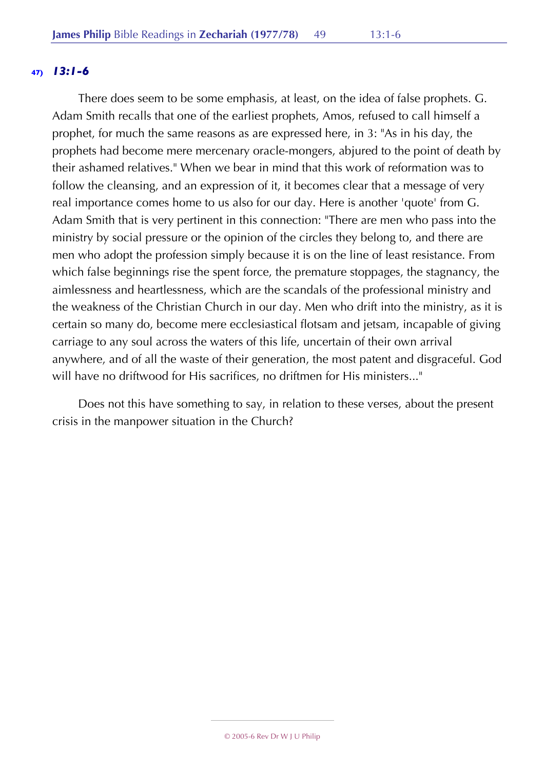There does seem to be some emphasis, at least, on the idea of false prophets. G. Adam Smith recalls that one of the earliest prophets, Amos, refused to call himself a prophet, for much the same reasons as are expressed here, in 3: "As in his day, the prophets had become mere mercenary oracle-mongers, abjured to the point of death by their ashamed relatives." When we bear in mind that this work of reformation was to follow the cleansing, and an expression of it, it becomes clear that a message of very real importance comes home to us also for our day. Here is another 'quote' from G. Adam Smith that is very pertinent in this connection: "There are men who pass into the ministry by social pressure or the opinion of the circles they belong to, and there are men who adopt the profession simply because it is on the line of least resistance. From which false beginnings rise the spent force, the premature stoppages, the stagnancy, the aimlessness and heartlessness, which are the scandals of the professional ministry and the weakness of the Christian Church in our day. Men who drift into the ministry, as it is certain so many do, become mere ecclesiastical flotsam and jetsam, incapable of giving carriage to any soul across the waters of this life, uncertain of their own arrival anywhere, and of all the waste of their generation, the most patent and disgraceful. God will have no driftwood for His sacrifices, no driftmen for His ministers..."

Does not this have something to say, in relation to these verses, about the present crisis in the manpower situation in the Church?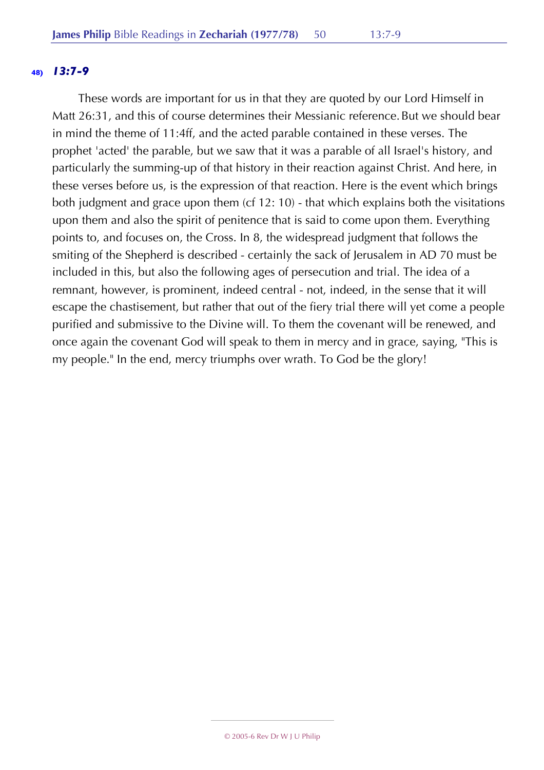### **48)** *13:7-9*

These words are important for us in that they are quoted by our Lord Himself in Matt 26:31, and this of course determines their Messianic reference.But we should bear in mind the theme of 11:4ff, and the acted parable contained in these verses. The prophet 'acted' the parable, but we saw that it was a parable of all Israel's history, and particularly the summing-up of that history in their reaction against Christ. And here, in these verses before us, is the expression of that reaction. Here is the event which brings both judgment and grace upon them (cf 12: 10) - that which explains both the visitations upon them and also the spirit of penitence that is said to come upon them. Everything points to, and focuses on, the Cross. In 8, the widespread judgment that follows the smiting of the Shepherd is described - certainly the sack of Jerusalem in AD 70 must be included in this, but also the following ages of persecution and trial. The idea of a remnant, however, is prominent, indeed central - not, indeed, in the sense that it will escape the chastisement, but rather that out of the fiery trial there will yet come a people purified and submissive to the Divine will. To them the covenant will be renewed, and once again the covenant God will speak to them in mercy and in grace, saying, "This is my people." In the end, mercy triumphs over wrath. To God be the glory!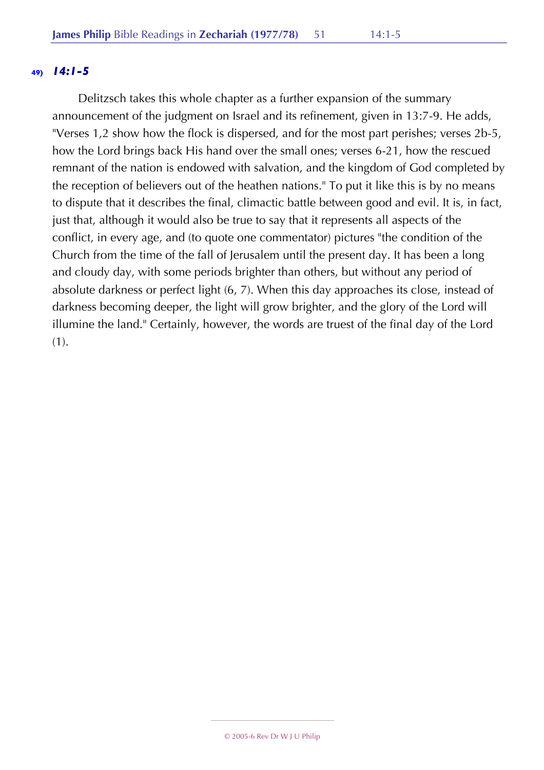## **49)** *14:1-5*

Delitzsch takes this whole chapter as a further expansion of the summary announcement of the judgment on Israel and its refinement, given in 13:7-9. He adds, "Verses 1,2 show how the flock is dispersed, and for the most part perishes; verses 2b-5, how the Lord brings back His hand over the small ones; verses 6-21, how the rescued remnant of the nation is endowed with salvation, and the kingdom of God completed by the reception of believers out of the heathen nations." To put it like this is by no means to dispute that it describes the final, climactic battle between good and evil. It is, in fact, just that, although it would also be true to say that it represents all aspects of the conflict, in every age, and (to quote one commentator) pictures "the condition of the Church from the time of the fall of Jerusalem until the present day. It has been a long and cloudy day, with some periods brighter than others, but without any period of absolute darkness or perfect light (6, 7). When this day approaches its close, instead of darkness becoming deeper, the light will grow brighter, and the glory of the Lord will illumine the land." Certainly, however, the words are truest of the final day of the Lord (1).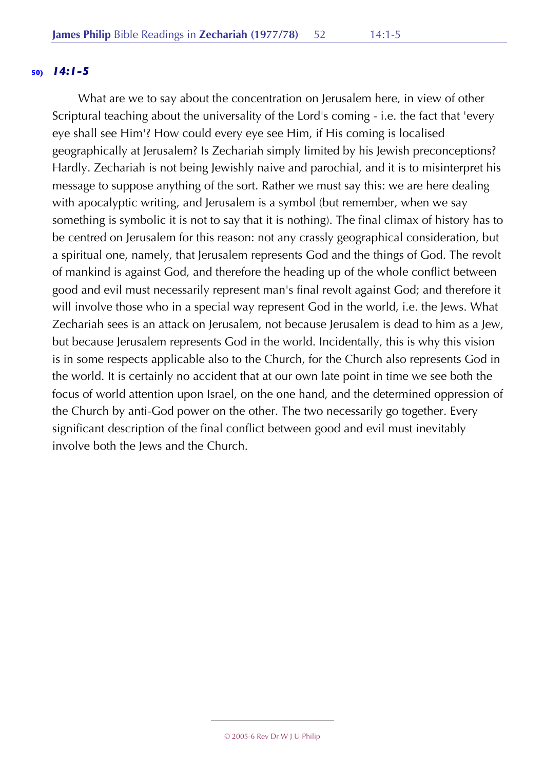#### **50)** *14:1-5*

What are we to say about the concentration on Jerusalem here, in view of other Scriptural teaching about the universality of the Lord's coming - i.e. the fact that 'every eye shall see Him'? How could every eye see Him, if His coming is localised geographically at Jerusalem? Is Zechariah simply limited by his Jewish preconceptions? Hardly. Zechariah is not being Jewishly naive and parochial, and it is to misinterpret his message to suppose anything of the sort. Rather we must say this: we are here dealing with apocalyptic writing, and Jerusalem is a symbol (but remember, when we say something is symbolic it is not to say that it is nothing). The final climax of history has to be centred on Jerusalem for this reason: not any crassly geographical consideration, but a spiritual one, namely, that Jerusalem represents God and the things of God. The revolt of mankind is against God, and therefore the heading up of the whole conflict between good and evil must necessarily represent man's final revolt against God; and therefore it will involve those who in a special way represent God in the world, i.e. the Jews. What Zechariah sees is an attack on Jerusalem, not because Jerusalem is dead to him as a Jew, but because Jerusalem represents God in the world. Incidentally, this is why this vision is in some respects applicable also to the Church, for the Church also represents God in the world. It is certainly no accident that at our own late point in time we see both the focus of world attention upon Israel, on the one hand, and the determined oppression of the Church by anti-God power on the other. The two necessarily go together. Every significant description of the final conflict between good and evil must inevitably involve both the Jews and the Church.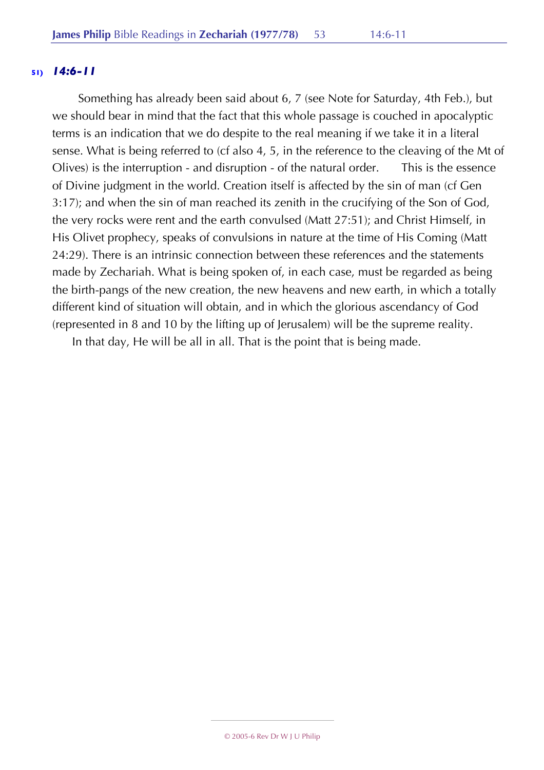## **51)** *14:6-11*

Something has already been said about 6, 7 (see Note for Saturday, 4th Feb.), but we should bear in mind that the fact that this whole passage is couched in apocalyptic terms is an indication that we do despite to the real meaning if we take it in a literal sense. What is being referred to (cf also 4, 5, in the reference to the cleaving of the Mt of Olives) is the interruption - and disruption - of the natural order. This is the essence of Divine judgment in the world. Creation itself is affected by the sin of man (cf Gen 3:17); and when the sin of man reached its zenith in the crucifying of the Son of God, the very rocks were rent and the earth convulsed (Matt 27:51); and Christ Himself, in His Olivet prophecy, speaks of convulsions in nature at the time of His Coming (Matt 24:29). There is an intrinsic connection between these references and the statements made by Zechariah. What is being spoken of, in each case, must be regarded as being the birth-pangs of the new creation, the new heavens and new earth, in which a totally different kind of situation will obtain, and in which the glorious ascendancy of God (represented in 8 and 10 by the lifting up of Jerusalem) will be the supreme reality.

In that day, He will be all in all. That is the point that is being made.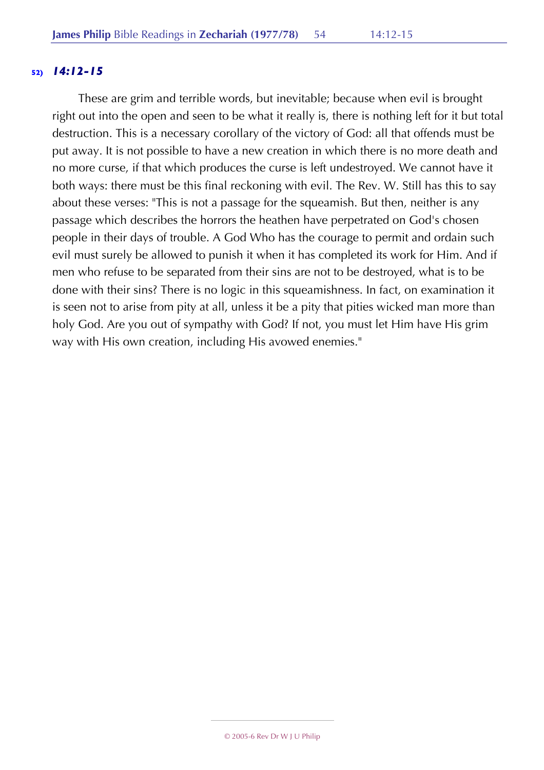## **52)** *14:12-15*

These are grim and terrible words, but inevitable; because when evil is brought right out into the open and seen to be what it really is, there is nothing left for it but total destruction. This is a necessary corollary of the victory of God: all that offends must be put away. It is not possible to have a new creation in which there is no more death and no more curse, if that which produces the curse is left undestroyed. We cannot have it both ways: there must be this final reckoning with evil. The Rev. W. Still has this to say about these verses: "This is not a passage for the squeamish. But then, neither is any passage which describes the horrors the heathen have perpetrated on God's chosen people in their days of trouble. A God Who has the courage to permit and ordain such evil must surely be allowed to punish it when it has completed its work for Him. And if men who refuse to be separated from their sins are not to be destroyed, what is to be done with their sins? There is no logic in this squeamishness. In fact, on examination it is seen not to arise from pity at all, unless it be a pity that pities wicked man more than holy God. Are you out of sympathy with God? If not, you must let Him have His grim way with His own creation, including His avowed enemies."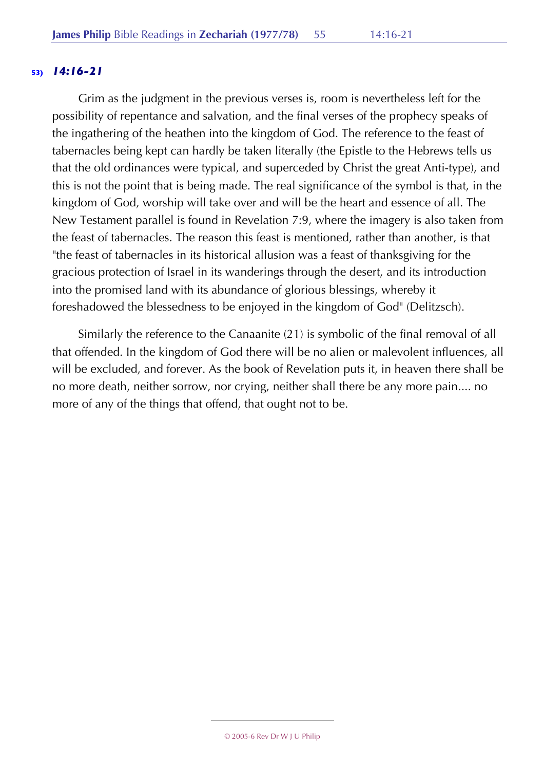# **53)** *14:16-21*

Grim as the judgment in the previous verses is, room is nevertheless left for the possibility of repentance and salvation, and the final verses of the prophecy speaks of the ingathering of the heathen into the kingdom of God. The reference to the feast of tabernacles being kept can hardly be taken literally (the Epistle to the Hebrews tells us that the old ordinances were typical, and superceded by Christ the great Anti-type), and this is not the point that is being made. The real significance of the symbol is that, in the kingdom of God, worship will take over and will be the heart and essence of all. The New Testament parallel is found in Revelation 7:9, where the imagery is also taken from the feast of tabernacles. The reason this feast is mentioned, rather than another, is that "the feast of tabernacles in its historical allusion was a feast of thanksgiving for the gracious protection of Israel in its wanderings through the desert, and its introduction into the promised land with its abundance of glorious blessings, whereby it foreshadowed the blessedness to be enjoyed in the kingdom of God" (Delitzsch).

Similarly the reference to the Canaanite (21) is symbolic of the final removal of all that offended. In the kingdom of God there will be no alien or malevolent influences, all will be excluded, and forever. As the book of Revelation puts it, in heaven there shall be no more death, neither sorrow, nor crying, neither shall there be any more pain.... no more of any of the things that offend, that ought not to be.